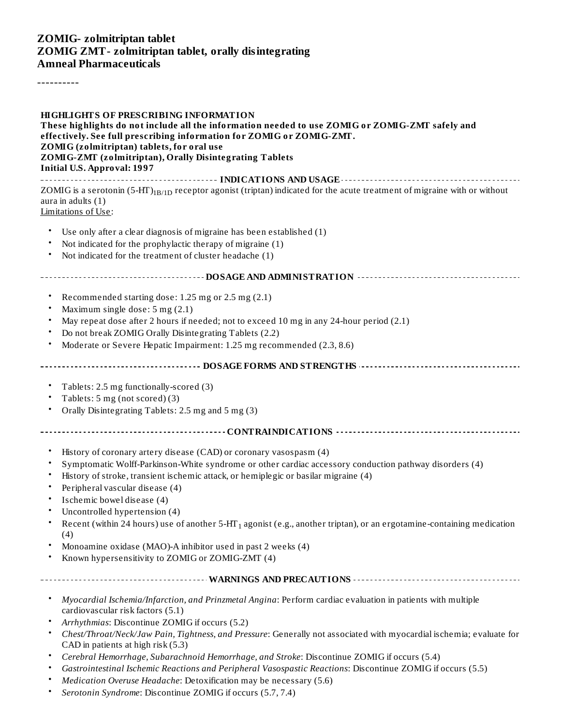#### **ZOMIG- zolmitriptan tablet ZOMIG ZMT- zolmitriptan tablet, orally disintegrating Amneal Pharmaceuticals**

----------

#### **HIGHLIGHTS OF PRESCRIBING INFORMATION These highlights do not include all the information needed to use ZOMIG or ZOMIG-ZMT safely and effectively. See full prescribing information for ZOMIG or ZOMIG-ZMT. ZOMIG (zolmitriptan) tablets, for oral use ZOMIG-ZMT (zolmitriptan), Orally Disintegrating Tablets Initial U.S. Approval: 1997**

**INDICATIONS AND USAGE INDICATIONS AND USAGE** *CONSIDERATIONS* **AND USAGE** *AND* **USAGE** *AND* **USAGE** *AND* ZOMIG is a serotonin (5-HT) $_{\rm 1B/1D}$  receptor agonist (triptan) indicated for the acute treatment of migraine with or without aura in adults (1) Limitations of Use:

- Use only after a clear diagnosis of migraine has been established (1)
- Not indicated for the prophylactic therapy of migraine (1)
- Not indicated for the treatment of cluster headache (1)

#### **DOSAGE AND ADMINISTRATION**

- Recommended starting dose: 1.25 mg or 2.5 mg (2.1)
- Maximum single dose: 5 mg (2.1)
- May repeat dose after 2 hours if needed; not to exceed 10 mg in any 24-hour period (2.1)
- Do not break ZOMIG Orally Disintegrating Tablets (2.2)
- Moderate or Severe Hepatic Impairment: 1.25 mg recommended (2.3, 8.6)

**DOSAGE FORMS AND STRENGTHS**

- Tablets: 2.5 mg functionally-scored (3)
- Tablets: 5 mg (not scored) (3)
- Orally Disintegrating Tablets: 2.5 mg and 5 mg (3)
- **CONTRAINDICATIONS**
	- History of coronary artery disease (CAD) or coronary vasospasm (4)
	- Symptomatic Wolff-Parkinson-White syndrome or other cardiac accessory conduction pathway disorders (4)
	- History of stroke, transient ischemic attack, or hemiplegic or basilar migraine (4)
	- Peripheral vascular disease (4)
	- Ischemic bowel disease (4)
	- Uncontrolled hypertension (4)
	- Recent (within 24 hours) use of another 5-HT<sub>1</sub> agonist (e.g., another triptan), or an ergotamine-containing medication (4)
	- Monoamine oxidase (MAO)-A inhibitor used in past 2 weeks (4)
	- Known hypersensitivity to ZOMIG or ZOMIG-ZMT (4)
- **WARNINGS AND PRECAUTIONS**
	- *Myocardial Ischemia/Infarction, and Prinzmetal Angina*: Perform cardiac evaluation in patients with multiple cardiovascular risk factors (5.1)
	- *Arrhythmias*: Discontinue ZOMIG if occurs (5.2)
	- *Chest/Throat/Neck/Jaw Pain, Tightness, and Pressure*: Generally not associated with myocardial ischemia; evaluate for CAD in patients at high risk (5.3)
	- *Cerebral Hemorrhage, Subarachnoid Hemorrhage, and Stroke*: Discontinue ZOMIG if occurs (5.4)
	- *Gastrointestinal Ischemic Reactions and Peripheral Vasospastic Reactions*: Discontinue ZOMIG if occurs (5.5)
	- *Medication Overuse Headache*: Detoxification may be necessary (5.6)
	- *Serotonin Syndrome*: Discontinue ZOMIG if occurs (5.7, 7.4)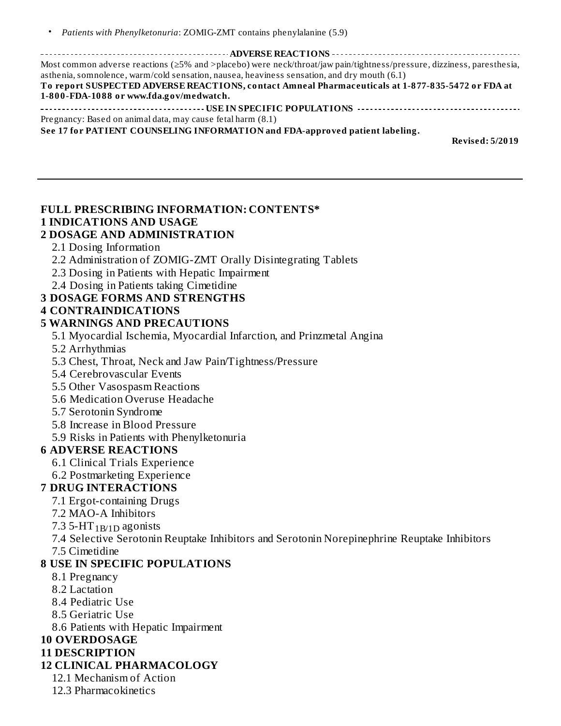| Most common adverse reactions (≥5% and >placebo) were neck/throat/jaw pain/tightness/pressure, dizziness, paresthesia,<br>asthenia, somnolence, warm/cold sensation, nausea, heaviness sensation, and dry mouth (6.1) |
|-----------------------------------------------------------------------------------------------------------------------------------------------------------------------------------------------------------------------|
| To report SUSPECTED ADVERSE REACTIONS, contact Amneal Pharmaceuticals at 1-877-835-5472 or FDA at                                                                                                                     |
| 1-800-FDA-1088 or www.fda.gov/medwatch.                                                                                                                                                                               |
|                                                                                                                                                                                                                       |
| Pregnancy: Based on animal data, may cause fetal harm (8.1)                                                                                                                                                           |
| See 17 for PATIENT COUNSELING INFORMATION and FDA-approved patient labeling.                                                                                                                                          |
| <b>Revised: 5/2019</b>                                                                                                                                                                                                |
|                                                                                                                                                                                                                       |
|                                                                                                                                                                                                                       |

# **FULL PRESCRIBING INFORMATION: CONTENTS\* 1 INDICATIONS AND USAGE**

## **2 DOSAGE AND ADMINISTRATION**

- 2.1 Dosing Information
- 2.2 Administration of ZOMIG-ZMT Orally Disintegrating Tablets
- 2.3 Dosing in Patients with Hepatic Impairment
- 2.4 Dosing in Patients taking Cimetidine

### **3 DOSAGE FORMS AND STRENGTHS**

#### **4 CONTRAINDICATIONS**

#### **5 WARNINGS AND PRECAUTIONS**

- 5.1 Myocardial Ischemia, Myocardial Infarction, and Prinzmetal Angina
- 5.2 Arrhythmias
- 5.3 Chest, Throat, Neck and Jaw Pain/Tightness/Pressure
- 5.4 Cerebrovascular Events
- 5.5 Other Vasospasm Reactions
- 5.6 Medication Overuse Headache
- 5.7 Serotonin Syndrome
- 5.8 Increase in Blood Pressure
- 5.9 Risks in Patients with Phenylketonuria

### **6 ADVERSE REACTIONS**

- 6.1 Clinical Trials Experience
- 6.2 Postmarketing Experience

### **7 DRUG INTERACTIONS**

- 7.1 Ergot-containing Drugs
- 7.2 MAO-A Inhibitors
- 7.3 5-HT  $_{1\text{B/D}}$  agonists

7.4 Selective Serotonin Reuptake Inhibitors and Serotonin Norepinephrine Reuptake Inhibitors 7.5 Cimetidine

#### **8 USE IN SPECIFIC POPULATIONS**

- 8.1 Pregnancy
- 8.2 Lactation
- 8.4 Pediatric Use
- 8.5 Geriatric Use
- 8.6 Patients with Hepatic Impairment

## **10 OVERDOSAGE**

#### **11 DESCRIPTION**

- **12 CLINICAL PHARMACOLOGY**
	- 12.1 Mechanism of Action
	- 12.3 Pharmacokinetics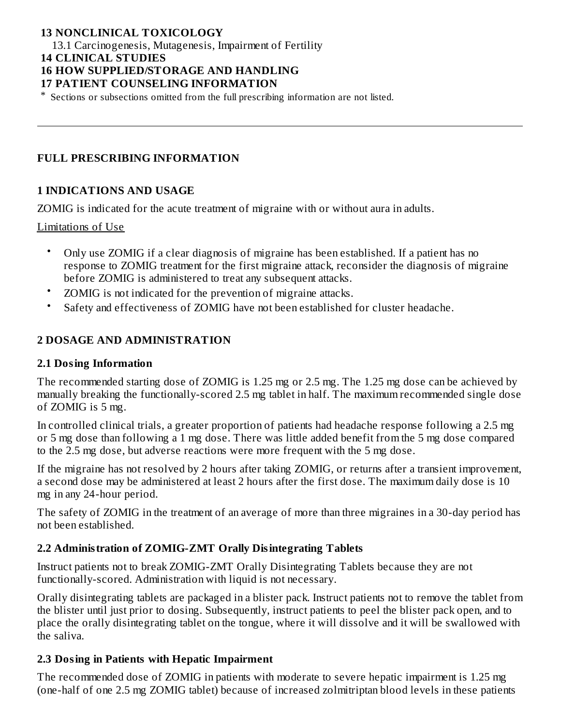### **13 NONCLINICAL TOXICOLOGY**

13.1 Carcinogenesis, Mutagenesis, Impairment of Fertility **14 CLINICAL STUDIES**

## **16 HOW SUPPLIED/STORAGE AND HANDLING**

#### **17 PATIENT COUNSELING INFORMATION**

\* Sections or subsections omitted from the full prescribing information are not listed.

#### **FULL PRESCRIBING INFORMATION**

#### **1 INDICATIONS AND USAGE**

ZOMIG is indicated for the acute treatment of migraine with or without aura in adults.

#### Limitations of Use

- Only use ZOMIG if a clear diagnosis of migraine has been established. If a patient has no response to ZOMIG treatment for the first migraine attack, reconsider the diagnosis of migraine before ZOMIG is administered to treat any subsequent attacks.
- ZOMIG is not indicated for the prevention of migraine attacks.
- Safety and effectiveness of ZOMIG have not been established for cluster headache.

## **2 DOSAGE AND ADMINISTRATION**

#### **2.1 Dosing Information**

The recommended starting dose of ZOMIG is 1.25 mg or 2.5 mg. The 1.25 mg dose can be achieved by manually breaking the functionally-scored 2.5 mg tablet in half. The maximum recommended single dose of ZOMIG is 5 mg.

In controlled clinical trials, a greater proportion of patients had headache response following a 2.5 mg or 5 mg dose than following a 1 mg dose. There was little added benefit from the 5 mg dose compared to the 2.5 mg dose, but adverse reactions were more frequent with the 5 mg dose.

If the migraine has not resolved by 2 hours after taking ZOMIG, or returns after a transient improvement, a second dose may be administered at least 2 hours after the first dose. The maximum daily dose is 10 mg in any 24-hour period.

The safety of ZOMIG in the treatment of an average of more than three migraines in a 30-day period has not been established.

#### **2.2 Administration of ZOMIG-ZMT Orally Disintegrating Tablets**

Instruct patients not to break ZOMIG-ZMT Orally Disintegrating Tablets because they are not functionally-scored. Administration with liquid is not necessary.

Orally disintegrating tablets are packaged in a blister pack. Instruct patients not to remove the tablet from the blister until just prior to dosing. Subsequently, instruct patients to peel the blister pack open, and to place the orally disintegrating tablet on the tongue, where it will dissolve and it will be swallowed with the saliva.

#### **2.3 Dosing in Patients with Hepatic Impairment**

The recommended dose of ZOMIG in patients with moderate to severe hepatic impairment is 1.25 mg (one-half of one 2.5 mg ZOMIG tablet) because of increased zolmitriptan blood levels in these patients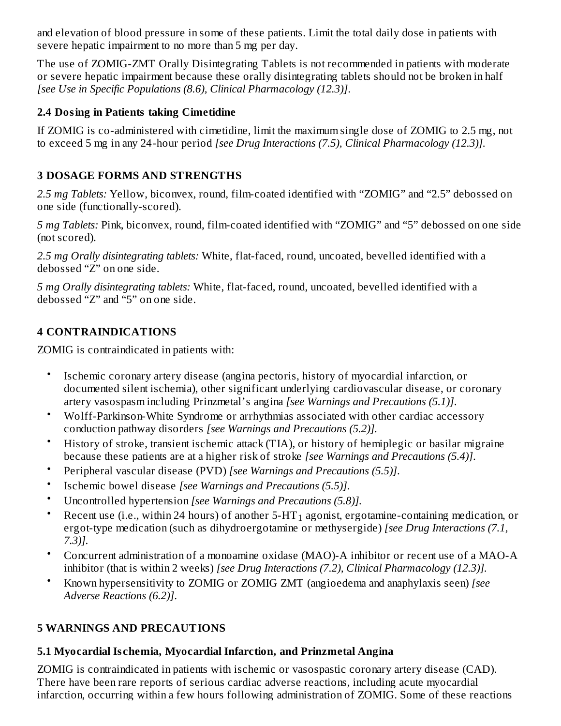and elevation of blood pressure in some of these patients. Limit the total daily dose in patients with severe hepatic impairment to no more than 5 mg per day.

The use of ZOMIG-ZMT Orally Disintegrating Tablets is not recommended in patients with moderate or severe hepatic impairment because these orally disintegrating tablets should not be broken in half *[see Use in Specific Populations (8.6), Clinical Pharmacology (12.3)]*.

## **2.4 Dosing in Patients taking Cimetidine**

If ZOMIG is co-administered with cimetidine, limit the maximum single dose of ZOMIG to 2.5 mg, not to exceed 5 mg in any 24-hour period *[see Drug Interactions (7.5), Clinical Pharmacology (12.3)].*

## **3 DOSAGE FORMS AND STRENGTHS**

*2.5 mg Tablets:* Yellow, biconvex, round, film-coated identified with "ZOMIG" and "2.5" debossed on one side (functionally-scored).

*5 mg Tablets:* Pink, biconvex, round, film-coated identified with "ZOMIG" and "5" debossed on one side (not scored).

*2.5 mg Orally disintegrating tablets:* White, flat-faced, round, uncoated, bevelled identified with a debossed "Z" on one side.

*5 mg Orally disintegrating tablets:* White, flat-faced, round, uncoated, bevelled identified with a debossed "Z" and "5" on one side.

## **4 CONTRAINDICATIONS**

ZOMIG is contraindicated in patients with:

- Ischemic coronary artery disease (angina pectoris, history of myocardial infarction, or documented silent ischemia), other significant underlying cardiovascular disease, or coronary artery vasospasm including Prinzmetal's angina *[see Warnings and Precautions (5.1)]*.
- Wolff-Parkinson-White Syndrome or arrhythmias associated with other cardiac accessory conduction pathway disorders *[see Warnings and Precautions (5.2)].*
- History of stroke, transient ischemic attack (TIA), or history of hemiplegic or basilar migraine because these patients are at a higher risk of stroke *[see Warnings and Precautions (5.4)]*.
- Peripheral vascular disease (PVD) *[see Warnings and Precautions (5.5)]*.
- Ischemic bowel disease *[see Warnings and Precautions (5.5)]*.
- Uncontrolled hypertension *[see Warnings and Precautions (5.8)].*
- Recent use (i.e., within 24 hours) of another 5-HT $_{\rm 1}$  agonist, ergotamine-containing medication, or ergot-type medication (such as dihydroergotamine or methysergide) *[see Drug Interactions (7.1, 7.3)].*
- Concurrent administration of a monoamine oxidase (MAO)-A inhibitor or recent use of a MAO-A inhibitor (that is within 2 weeks) *[see Drug Interactions (7.2), Clinical Pharmacology (12.3)].*
- Known hypersensitivity to ZOMIG or ZOMIG ZMT (angioedema and anaphylaxis seen) *[see Adverse Reactions (6.2)]*.

## **5 WARNINGS AND PRECAUTIONS**

## **5.1 Myocardial Is chemia, Myocardial Infarction, and Prinzmetal Angina**

ZOMIG is contraindicated in patients with ischemic or vasospastic coronary artery disease (CAD). There have been rare reports of serious cardiac adverse reactions, including acute myocardial infarction, occurring within a few hours following administration of ZOMIG. Some of these reactions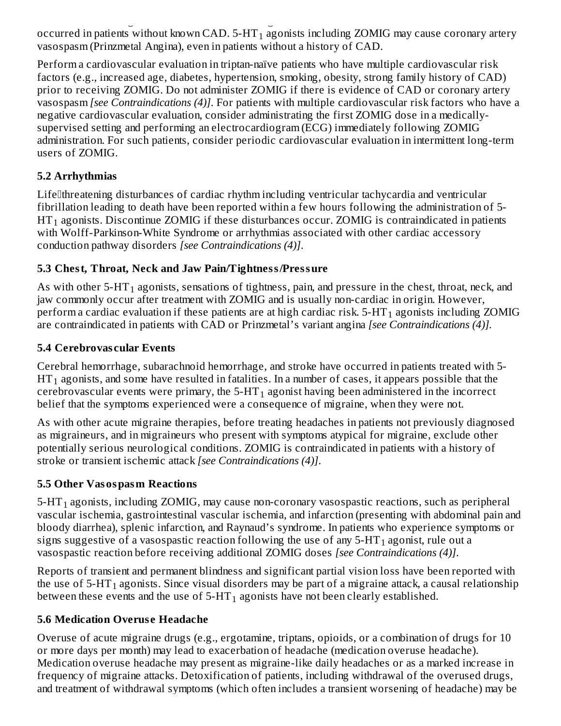infarction, occurring within a few hours following administration of ZOMIG. Some of these reactions occurred in patients without known CAD. 5-HT $_{\rm 1}$  agonists including ZOMIG may cause coronary artery vasospasm (Prinzmetal Angina), even in patients without a history of CAD.

Perform a cardiovascular evaluation in triptan-naïve patients who have multiple cardiovascular risk factors (e.g., increased age, diabetes, hypertension, smoking, obesity, strong family history of CAD) prior to receiving ZOMIG. Do not administer ZOMIG if there is evidence of CAD or coronary artery vasospasm *[see Contraindications (4)]*. For patients with multiple cardiovascular risk factors who have a negative cardiovascular evaluation, consider administrating the first ZOMIG dose in a medicallysupervised setting and performing an electrocardiogram (ECG) immediately following ZOMIG administration. For such patients, consider periodic cardiovascular evaluation in intermittent long-term users of ZOMIG.

## **5.2 Arrhythmias**

Life<sup>[]</sup>threatening disturbances of cardiac rhythm including ventricular tachycardia and ventricular fibrillation leading to death have been reported within a few hours following the administration of 5-  $\operatorname{HT}_1$  agonists. Discontinue ZOMIG if these disturbances occur. ZOMIG is contraindicated in patients with Wolff-Parkinson-White Syndrome or arrhythmias associated with other cardiac accessory conduction pathway disorders *[see Contraindications (4)]*.

## **5.3 Chest, Throat, Neck and Jaw Pain/Tightness/Pressure**

As with other 5-HT $_{\rm 1}$  agonists, sensations of tightness, pain, and pressure in the chest, throat, neck, and jaw commonly occur after treatment with ZOMIG and is usually non-cardiac in origin. However, perform a cardiac evaluation if these patients are at high cardiac risk. 5-HT $_{\rm 1}$  agonists including ZOMIG are contraindicated in patients with CAD or Prinzmetal's variant angina *[see Contraindications (4)].*

## **5.4 Cerebrovas cular Events**

Cerebral hemorrhage, subarachnoid hemorrhage, and stroke have occurred in patients treated with 5-  $\operatorname{HT}_1$  agonists, and some have resulted in fatalities. In a number of cases, it appears possible that the cerebrovascular events were primary, the 5-HT $_{\rm 1}$  agonist having been administered in the incorrect belief that the symptoms experienced were a consequence of migraine, when they were not.

As with other acute migraine therapies, before treating headaches in patients not previously diagnosed as migraineurs, and in migraineurs who present with symptoms atypical for migraine, exclude other potentially serious neurological conditions. ZOMIG is contraindicated in patients with a history of stroke or transient ischemic attack *[see Contraindications (4)]*.

## **5.5 Other Vasospasm Reactions**

5-HT $_{\rm 1}$  agonists, including ZOMIG, may cause non-coronary vasospastic reactions, such as peripheral vascular ischemia, gastrointestinal vascular ischemia, and infarction (presenting with abdominal pain and bloody diarrhea), splenic infarction, and Raynaud's syndrome. In patients who experience symptoms or signs suggestive of a vasospastic reaction following the use of any 5-HT $_{\rm 1}$  agonist, rule out a vasospastic reaction before receiving additional ZOMIG doses *[see Contraindications (4)]*.

Reports of transient and permanent blindness and significant partial vision loss have been reported with the use of 5-HT $_{\rm 1}$  agonists. Since visual disorders may be part of a migraine attack, a causal relationship between these events and the use of 5-HT $_{\rm 1}$  agonists have not been clearly established.

## **5.6 Medication Overus e Headache**

Overuse of acute migraine drugs (e.g., ergotamine, triptans, opioids, or a combination of drugs for 10 or more days per month) may lead to exacerbation of headache (medication overuse headache). Medication overuse headache may present as migraine-like daily headaches or as a marked increase in frequency of migraine attacks. Detoxification of patients, including withdrawal of the overused drugs, and treatment of withdrawal symptoms (which often includes a transient worsening of headache) may be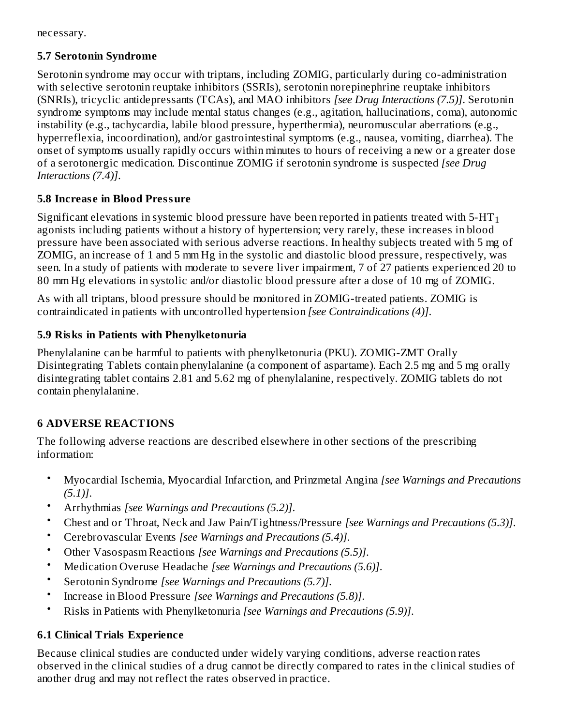necessary.

## **5.7 Serotonin Syndrome**

Serotonin syndrome may occur with triptans, including ZOMIG, particularly during co-administration with selective serotonin reuptake inhibitors (SSRIs), serotonin norepinephrine reuptake inhibitors (SNRIs), tricyclic antidepressants (TCAs), and MAO inhibitors *[see Drug Interactions (7.5)]*. Serotonin syndrome symptoms may include mental status changes (e.g., agitation, hallucinations, coma), autonomic instability (e.g., tachycardia, labile blood pressure, hyperthermia), neuromuscular aberrations (e.g., hyperreflexia, incoordination), and/or gastrointestinal symptoms (e.g., nausea, vomiting, diarrhea). The onset of symptoms usually rapidly occurs within minutes to hours of receiving a new or a greater dose of a serotonergic medication. Discontinue ZOMIG if serotonin syndrome is suspected *[see Drug Interactions (7.4)]*.

## **5.8 Increas e in Blood Pressure**

Significant elevations in systemic blood pressure have been reported in patients treated with 5-HT  $_{\rm 1}$ agonists including patients without a history of hypertension; very rarely, these increases in blood pressure have been associated with serious adverse reactions. In healthy subjects treated with 5 mg of ZOMIG, an increase of 1 and 5 mm Hg in the systolic and diastolic blood pressure, respectively, was seen. In a study of patients with moderate to severe liver impairment, 7 of 27 patients experienced 20 to 80 mm Hg elevations in systolic and/or diastolic blood pressure after a dose of 10 mg of ZOMIG.

As with all triptans, blood pressure should be monitored in ZOMIG-treated patients. ZOMIG is contraindicated in patients with uncontrolled hypertension *[see Contraindications (4)]*.

## **5.9 Risks in Patients with Phenylketonuria**

Phenylalanine can be harmful to patients with phenylketonuria (PKU). ZOMIG-ZMT Orally Disintegrating Tablets contain phenylalanine (a component of aspartame). Each 2.5 mg and 5 mg orally disintegrating tablet contains 2.81 and 5.62 mg of phenylalanine, respectively. ZOMIG tablets do not contain phenylalanine.

## **6 ADVERSE REACTIONS**

The following adverse reactions are described elsewhere in other sections of the prescribing information:

- Myocardial Ischemia, Myocardial Infarction, and Prinzmetal Angina *[see Warnings and Precautions (5.1)]*.
- Arrhythmias *[see Warnings and Precautions (5.2)]*.
- Chest and or Throat, Neck and Jaw Pain/Tightness/Pressure *[see Warnings and Precautions (5.3)]*.
- Cerebrovascular Events *[see Warnings and Precautions (5.4)]*.
- Other Vasospasm Reactions *[see Warnings and Precautions (5.5)]*.
- Medication Overuse Headache *[see Warnings and Precautions (5.6)]*.
- Serotonin Syndrome *[see Warnings and Precautions (5.7)]*.
- Increase in Blood Pressure *[see Warnings and Precautions (5.8)]*.
- Risks in Patients with Phenylketonuria *[see Warnings and Precautions (5.9)]*.

## **6.1 Clinical Trials Experience**

Because clinical studies are conducted under widely varying conditions, adverse reaction rates observed in the clinical studies of a drug cannot be directly compared to rates in the clinical studies of another drug and may not reflect the rates observed in practice.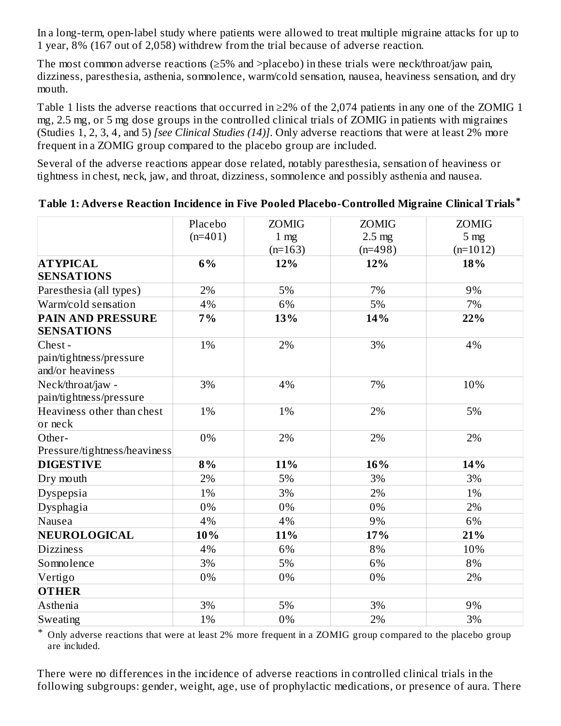In a long-term, open-label study where patients were allowed to treat multiple migraine attacks for up to 1 year, 8% (167 out of 2,058) withdrew from the trial because of adverse reaction.

The most common adverse reactions ( $\geq$ 5% and >placebo) in these trials were neck/throat/jaw pain, dizziness, paresthesia, asthenia, somnolence, warm/cold sensation, nausea, heaviness sensation, and dry mouth.

Table 1 lists the adverse reactions that occurred in  $\geq$ 2% of the 2,074 patients in any one of the ZOMIG 1 mg, 2.5 mg, or 5 mg dose groups in the controlled clinical trials of ZOMIG in patients with migraines (Studies 1, 2, 3, 4, and 5) *[see Clinical Studies (14)]*. Only adverse reactions that were at least 2% more frequent in a ZOMIG group compared to the placebo group are included.

Several of the adverse reactions appear dose related, notably paresthesia, sensation of heaviness or tightness in chest, neck, jaw, and throat, dizziness, somnolence and possibly asthenia and nausea.

|                                                       | Placebo   | <b>ZOMIG</b>    | <b>ZOMIG</b> | <b>ZOMIG</b>    |
|-------------------------------------------------------|-----------|-----------------|--------------|-----------------|
|                                                       | $(n=401)$ | 1 <sub>mg</sub> | $2.5$ mg     | 5 <sub>mg</sub> |
|                                                       |           | $(n=163)$       | $(n=498)$    | $(n=1012)$      |
| <b>ATYPICAL</b>                                       | 6%        | 12%             | 12%          | 18%             |
| <b>SENSATIONS</b>                                     |           |                 |              |                 |
| Paresthesia (all types)                               | 2%        | 5%              | 7%           | 9%              |
| Warm/cold sensation                                   | 4%        | 6%              | 5%           | 7%              |
| <b>PAIN AND PRESSURE</b><br><b>SENSATIONS</b>         | 7%        | 13%             | 14%          | 22%             |
| Chest-<br>pain/tightness/pressure<br>and/or heaviness | 1%        | 2%              | 3%           | 4%              |
| Neck/throat/jaw -<br>pain/tightness/pressure          | 3%        | 4%              | 7%           | 10%             |
| Heaviness other than chest<br>or neck                 | 1%        | 1%              | 2%           | 5%              |
| Other-                                                | 0%        | 2%              | 2%           | 2%              |
| Pressure/tightness/heaviness                          |           |                 |              |                 |
| <b>DIGESTIVE</b>                                      | 8%        | 11%             | 16%          | 14%             |
| Dry mouth                                             | 2%        | 5%              | 3%           | 3%              |
| Dyspepsia                                             | 1%        | 3%              | 2%           | 1%              |
| Dysphagia                                             | 0%        | 0%              | 0%           | 2%              |
| Nausea                                                | 4%        | 4%              | 9%           | 6%              |
| NEUROLOGICAL                                          | 10%       | 11%             | 17%          | 21%             |
| <b>Dizziness</b>                                      | 4%        | 6%              | 8%           | 10%             |
| Somnolence                                            | 3%        | 5%              | 6%           | 8%              |
| Vertigo                                               | 0%        | 0%              | 0%           | 2%              |
| <b>OTHER</b>                                          |           |                 |              |                 |
| Asthenia                                              | 3%        | 5%              | 3%           | 9%              |
| Sweating                                              | 1%        | 0%              | 2%           | 3%              |

### **Table 1: Advers e Reaction Incidence in Five Pooled Placebo-Controlled Migraine Clinical Trials \***

\* Only adverse reactions that were at least 2% more frequent in a ZOMIG group compared to the placebo group are included.

There were no differences in the incidence of adverse reactions in controlled clinical trials in the following subgroups: gender, weight, age, use of prophylactic medications, or presence of aura. There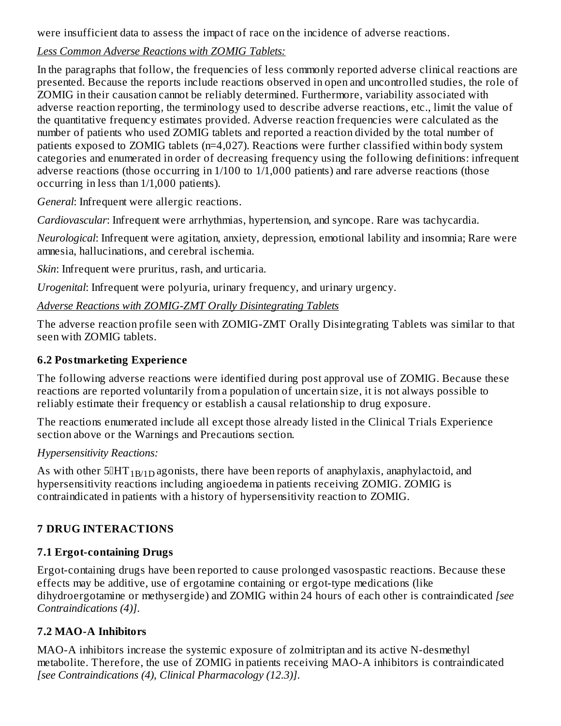were insufficient data to assess the impact of race on the incidence of adverse reactions.

## *Less Common Adverse Reactions with ZOMIG Tablets:*

In the paragraphs that follow, the frequencies of less commonly reported adverse clinical reactions are presented. Because the reports include reactions observed in open and uncontrolled studies, the role of ZOMIG in their causation cannot be reliably determined. Furthermore, variability associated with adverse reaction reporting, the terminology used to describe adverse reactions, etc., limit the value of the quantitative frequency estimates provided. Adverse reaction frequencies were calculated as the number of patients who used ZOMIG tablets and reported a reaction divided by the total number of patients exposed to ZOMIG tablets (n=4,027). Reactions were further classified within body system categories and enumerated in order of decreasing frequency using the following definitions: infrequent adverse reactions (those occurring in 1/100 to 1/1,000 patients) and rare adverse reactions (those occurring in less than 1/1,000 patients).

*General*: Infrequent were allergic reactions.

*Cardiovascular*: Infrequent were arrhythmias, hypertension, and syncope. Rare was tachycardia.

*Neurological*: Infrequent were agitation, anxiety, depression, emotional lability and insomnia; Rare were amnesia, hallucinations, and cerebral ischemia.

*Skin*: Infrequent were pruritus, rash, and urticaria.

*Urogenital*: Infrequent were polyuria, urinary frequency, and urinary urgency.

*Adverse Reactions with ZOMIG-ZMT Orally Disintegrating Tablets*

The adverse reaction profile seen with ZOMIG-ZMT Orally Disintegrating Tablets was similar to that seen with ZOMIG tablets.

## **6.2 Postmarketing Experience**

The following adverse reactions were identified during post approval use of ZOMIG. Because these reactions are reported voluntarily from a population of uncertain size, it is not always possible to reliably estimate their frequency or establish a causal relationship to drug exposure.

The reactions enumerated include all except those already listed in the Clinical Trials Experience section above or the Warnings and Precautions section.

## *Hypersensitivity Reactions:*

As with other  $5\overline{0}HT_{1B/1D}$  agonists, there have been reports of anaphylaxis, anaphylactoid, and hypersensitivity reactions including angioedema in patients receiving ZOMIG. ZOMIG is contraindicated in patients with a history of hypersensitivity reaction to ZOMIG.

## **7 DRUG INTERACTIONS**

## **7.1 Ergot-containing Drugs**

Ergot-containing drugs have been reported to cause prolonged vasospastic reactions. Because these effects may be additive, use of ergotamine containing or ergot-type medications (like dihydroergotamine or methysergide) and ZOMIG within 24 hours of each other is contraindicated *[see Contraindications (4)]*.

## **7.2 MAO-A Inhibitors**

MAO-A inhibitors increase the systemic exposure of zolmitriptan and its active N-desmethyl metabolite. Therefore, the use of ZOMIG in patients receiving MAO-A inhibitors is contraindicated *[see Contraindications (4), Clinical Pharmacology (12.3)]*.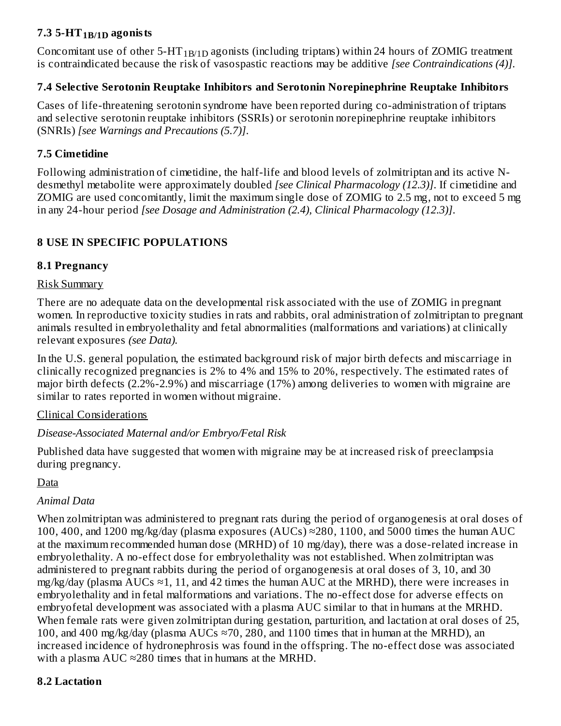## **7.3 5-HT agonists 1B/1D**

Concomitant use of other 5-HT $_{\rm 1B/1D}$  agonists (including triptans) within 24 hours of ZOMIG treatment is contraindicated because the risk of vasospastic reactions may be additive *[see Contraindications (4)]*.

## **7.4 Selective Serotonin Reuptake Inhibitors and Serotonin Norepinephrine Reuptake Inhibitors**

Cases of life-threatening serotonin syndrome have been reported during co-administration of triptans and selective serotonin reuptake inhibitors (SSRIs) or serotonin norepinephrine reuptake inhibitors (SNRIs) *[see Warnings and Precautions (5.7)]*.

## **7.5 Cimetidine**

Following administration of cimetidine, the half-life and blood levels of zolmitriptan and its active Ndesmethyl metabolite were approximately doubled *[see Clinical Pharmacology (12.3)]*. If cimetidine and ZOMIG are used concomitantly, limit the maximum single dose of ZOMIG to 2.5 mg, not to exceed 5 mg in any 24-hour period *[see Dosage and Administration (2.4), Clinical Pharmacology (12.3)]*.

## **8 USE IN SPECIFIC POPULATIONS**

## **8.1 Pregnancy**

### Risk Summary

There are no adequate data on the developmental risk associated with the use of ZOMIG in pregnant women. In reproductive toxicity studies in rats and rabbits, oral administration of zolmitriptan to pregnant animals resulted in embryolethality and fetal abnormalities (malformations and variations) at clinically relevant exposures *(see Data).*

In the U.S. general population, the estimated background risk of major birth defects and miscarriage in clinically recognized pregnancies is 2% to 4% and 15% to 20%, respectively. The estimated rates of major birth defects (2.2%-2.9%) and miscarriage (17%) among deliveries to women with migraine are similar to rates reported in women without migraine.

### Clinical Considerations

## *Disease-Associated Maternal and/or Embryo/Fetal Risk*

Published data have suggested that women with migraine may be at increased risk of preeclampsia during pregnancy.

Data

## *Animal Data*

When zolmitriptan was administered to pregnant rats during the period of organogenesis at oral doses of 100, 400, and 1200 mg/kg/day (plasma exposures (AUCs)  $\approx$ 280, 1100, and 5000 times the human AUC at the maximum recommended human dose (MRHD) of 10 mg/day), there was a dose-related increase in embryolethality. A no-effect dose for embryolethality was not established. When zolmitriptan was administered to pregnant rabbits during the period of organogenesis at oral doses of 3, 10, and 30 mg/kg/day (plasma AUCs  $\approx$ 1, 11, and 42 times the human AUC at the MRHD), there were increases in embryolethality and in fetal malformations and variations. The no-effect dose for adverse effects on embryofetal development was associated with a plasma AUC similar to that in humans at the MRHD. When female rats were given zolmitriptan during gestation, parturition, and lactation at oral doses of 25, 100, and 400 mg/kg/day (plasma AUCs  $\approx$ 70, 280, and 1100 times that in human at the MRHD), an increased incidence of hydronephrosis was found in the offspring. The no-effect dose was associated with a plasma  $AUC \approx 280$  times that in humans at the MRHD.

### **8.2 Lactation**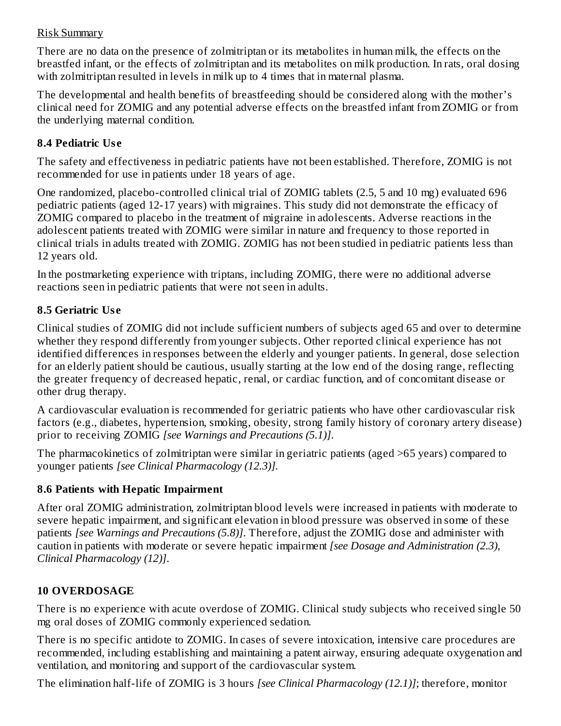## Risk Summary

There are no data on the presence of zolmitriptan or its metabolites in human milk, the effects on the breastfed infant, or the effects of zolmitriptan and its metabolites on milk production. In rats, oral dosing with zolmitriptan resulted in levels in milk up to 4 times that in maternal plasma.

The developmental and health benefits of breastfeeding should be considered along with the mother's clinical need for ZOMIG and any potential adverse effects on the breastfed infant from ZOMIG or from the underlying maternal condition.

## **8.4 Pediatric Us e**

The safety and effectiveness in pediatric patients have not been established. Therefore, ZOMIG is not recommended for use in patients under 18 years of age.

One randomized, placebo-controlled clinical trial of ZOMIG tablets (2.5, 5 and 10 mg) evaluated 696 pediatric patients (aged 12-17 years) with migraines. This study did not demonstrate the efficacy of ZOMIG compared to placebo in the treatment of migraine in adolescents. Adverse reactions in the adolescent patients treated with ZOMIG were similar in nature and frequency to those reported in clinical trials in adults treated with ZOMIG. ZOMIG has not been studied in pediatric patients less than 12 years old.

In the postmarketing experience with triptans, including ZOMIG, there were no additional adverse reactions seen in pediatric patients that were not seen in adults.

## **8.5 Geriatric Us e**

Clinical studies of ZOMIG did not include sufficient numbers of subjects aged 65 and over to determine whether they respond differently from younger subjects. Other reported clinical experience has not identified differences in responses between the elderly and younger patients. In general, dose selection for an elderly patient should be cautious, usually starting at the low end of the dosing range, reflecting the greater frequency of decreased hepatic, renal, or cardiac function, and of concomitant disease or other drug therapy.

A cardiovascular evaluation is recommended for geriatric patients who have other cardiovascular risk factors (e.g., diabetes, hypertension, smoking, obesity, strong family history of coronary artery disease) prior to receiving ZOMIG *[see Warnings and Precautions (5.1)]*.

The pharmacokinetics of zolmitriptan were similar in geriatric patients (aged >65 years) compared to younger patients *[see Clinical Pharmacology (12.3)].*

## **8.6 Patients with Hepatic Impairment**

After oral ZOMIG administration, zolmitriptan blood levels were increased in patients with moderate to severe hepatic impairment, and significant elevation in blood pressure was observed in some of these patients *[see Warnings and Precautions (5.8)]*. Therefore, adjust the ZOMIG dose and administer with caution in patients with moderate or severe hepatic impairment *[see Dosage and Administration (2.3), Clinical Pharmacology (12)]*.

## **10 OVERDOSAGE**

There is no experience with acute overdose of ZOMIG. Clinical study subjects who received single 50 mg oral doses of ZOMIG commonly experienced sedation.

There is no specific antidote to ZOMIG. In cases of severe intoxication, intensive care procedures are recommended, including establishing and maintaining a patent airway, ensuring adequate oxygenation and ventilation, and monitoring and support of the cardiovascular system.

The elimination half-life of ZOMIG is 3 hours *[see Clinical Pharmacology (12.1)]*; therefore, monitor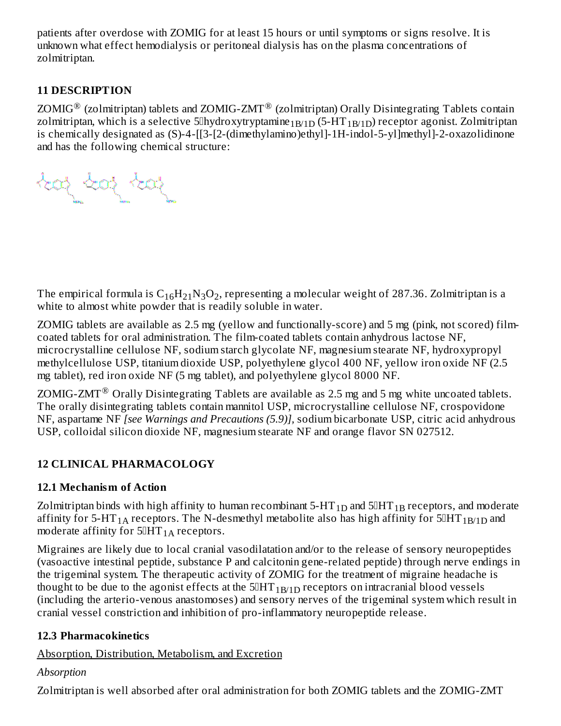patients after overdose with ZOMIG for at least 15 hours or until symptoms or signs resolve. It is unknown what effect hemodialysis or peritoneal dialysis has on the plasma concentrations of zolmitriptan.

## **11 DESCRIPTION**

ZOMIG $^{\circledR}$  (zolmitriptan) tablets and ZOMIG-ZMT $^{\circledR}$  (zolmitriptan) Orally Disintegrating Tablets contain zolmitriptan, which is a selective 5 $\mathbb I$ hydroxytryptamine $_{1\mathrm{B/1D}}$  (5-HT  $_{1\mathrm{B/1D}}$ ) receptor agonist. Zolmitriptan is chemically designated as (S)-4-[[3-[2-(dimethylamino)ethyl]-1H-indol-5-yl]methyl]-2-oxazolidinone and has the following chemical structure:

The empirical formula is  $\rm{C_{16}H_{21}N_{3}O_{2}}$ , representing a molecular weight of 287.36. Zolmitriptan is a white to almost white powder that is readily soluble in water.

ZOMIG tablets are available as 2.5 mg (yellow and functionally-score) and 5 mg (pink, not scored) filmcoated tablets for oral administration. The film-coated tablets contain anhydrous lactose NF, microcrystalline cellulose NF, sodium starch glycolate NF, magnesium stearate NF, hydroxypropyl methylcellulose USP, titanium dioxide USP, polyethylene glycol 400 NF, yellow iron oxide NF (2.5 mg tablet), red iron oxide NF (5 mg tablet), and polyethylene glycol 8000 NF.

ZOMIG-ZMT $^{\circledR}$  Orally Disintegrating Tablets are available as 2.5 mg and 5 mg white uncoated tablets. The orally disintegrating tablets contain mannitol USP, microcrystalline cellulose NF, crospovidone NF, aspartame NF *[see Warnings and Precautions (5.9)],* sodium bicarbonate USP, citric acid anhydrous USP, colloidal silicon dioxide NF, magnesium stearate NF and orange flavor SN 027512.

# **12 CLINICAL PHARMACOLOGY**

## **12.1 Mechanism of Action**

Zolmitriptan binds with high affinity to human recombinant 5-HT  $_{\rm 1D}$  and 5[HT  $_{\rm 1B}$  receptors, and moderate affinity for 5-HT $_{\rm 1A}$  receptors. The N-desmethyl metabolite also has high affinity for 5[HT $_{\rm 1B/1D}$  and moderate affinity for  $5\mathbb{I}HT_{1\text{A}}$  receptors.

Migraines are likely due to local cranial vasodilatation and/or to the release of sensory neuropeptides (vasoactive intestinal peptide, substance P and calcitonin gene-related peptide) through nerve endings in the trigeminal system. The therapeutic activity of ZOMIG for the treatment of migraine headache is thought to be due to the agonist effects at the 5 $\rm IHT_{1B/1D}$  receptors on intracranial blood vessels (including the arterio-venous anastomoses) and sensory nerves of the trigeminal system which result in cranial vessel constriction and inhibition of pro-inflammatory neuropeptide release.

## **12.3 Pharmacokinetics**

Absorption, Distribution, Metabolism, and Excretion

## *Absorption*

Zolmitriptan is well absorbed after oral administration for both ZOMIG tablets and the ZOMIG-ZMT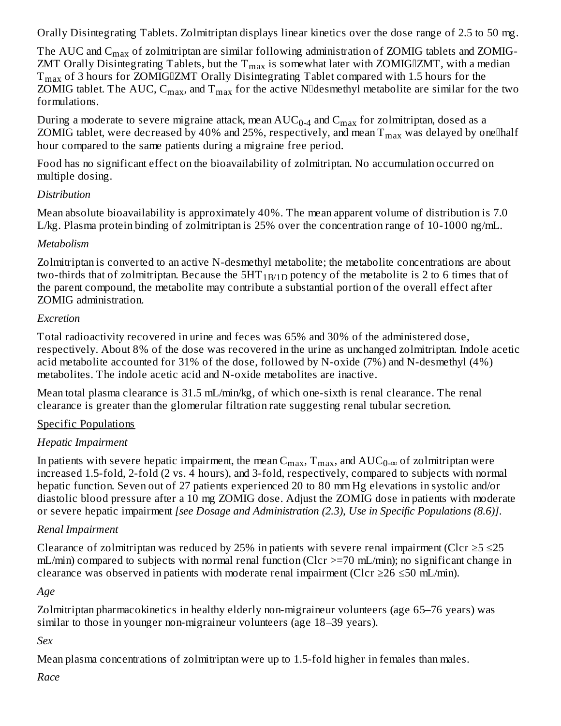Orally Disintegrating Tablets. Zolmitriptan displays linear kinetics over the dose range of 2.5 to 50 mg.

The AUC and  $\rm{C_{max}}$  of zolmitriptan are similar following administration of ZOMIG tablets and ZOMIG-ZMT Orally Disintegrating Tablets, but the  $T_{max}$  is somewhat later with ZOMIG $\mathbb{I}$ ZMT, with a median  $\rm T_{max}$  of 3 hours for ZOMIG $\rm IZMT$  Orally Disintegrating Tablet compared with 1.5 hours for the ZOMIG tablet. The AUC,  $C_{max}$ , and  $T_{max}$  for the active N $\textcolor{black}{\textsf{Index}}$  metabolite are similar for the two formulations.

During a moderate to severe migraine attack, mean  $\mathrm{AUC_{0.4}}$  and  $\mathrm{C_{max}}$  for zolmitriptan, dosed as a ZOMIG tablet, were decreased by 40% and 25%, respectively, and mean  $\rm T_{max}$  was delayed by one $\rm I$ half hour compared to the same patients during a migraine free period.

Food has no significant effect on the bioavailability of zolmitriptan. No accumulation occurred on multiple dosing.

## *Distribution*

Mean absolute bioavailability is approximately 40%. The mean apparent volume of distribution is 7.0 L/kg. Plasma protein binding of zolmitriptan is 25% over the concentration range of 10-1000 ng/mL.

## *Metabolism*

Zolmitriptan is converted to an active N-desmethyl metabolite; the metabolite concentrations are about two-thirds that of zolmitriptan. Because the  $5HT_{1B/1D}$  potency of the metabolite is 2 to 6 times that of the parent compound, the metabolite may contribute a substantial portion of the overall effect after ZOMIG administration.

## *Excretion*

Total radioactivity recovered in urine and feces was 65% and 30% of the administered dose, respectively. About 8% of the dose was recovered in the urine as unchanged zolmitriptan. Indole acetic acid metabolite accounted for 31% of the dose, followed by N-oxide (7%) and N-desmethyl (4%) metabolites. The indole acetic acid and N-oxide metabolites are inactive.

Mean total plasma clearance is 31.5 mL/min/kg, of which one-sixth is renal clearance. The renal clearance is greater than the glomerular filtration rate suggesting renal tubular secretion.

## Specific Populations

## *Hepatic Impairment*

In patients with severe hepatic impairment, the mean  $\rm C_{max},$   $\rm T_{max},$  and  $\rm AUC_{0-\infty}$  of zolmitriptan were increased 1.5-fold, 2-fold (2 vs. 4 hours), and 3-fold, respectively, compared to subjects with normal hepatic function. Seven out of 27 patients experienced 20 to 80 mm Hg elevations in systolic and/or diastolic blood pressure after a 10 mg ZOMIG dose. Adjust the ZOMIG dose in patients with moderate or severe hepatic impairment *[see Dosage and Administration (2.3), Use in Specific Populations (8.6)]*.

## *Renal Impairment*

Clearance of zolmitriptan was reduced by 25% in patients with severe renal impairment (Clcr  $\geq$  5  $\leq$  25 mL/min) compared to subjects with normal renal function (Clcr >=70 mL/min); no significant change in clearance was observed in patients with moderate renal impairment (Clcr  $\geq$ 26  $\leq$ 50 mL/min).

## *Age*

Zolmitriptan pharmacokinetics in healthy elderly non-migraineur volunteers (age 65–76 years) was similar to those in younger non-migraineur volunteers (age 18–39 years).

## *Sex*

Mean plasma concentrations of zolmitriptan were up to 1.5-fold higher in females than males.

*Race*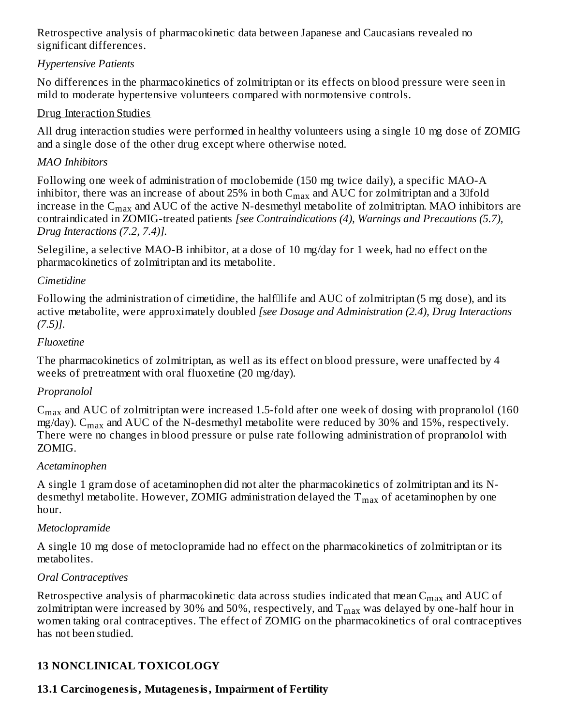Retrospective analysis of pharmacokinetic data between Japanese and Caucasians revealed no significant differences.

## *Hypertensive Patients*

No differences in the pharmacokinetics of zolmitriptan or its effects on blood pressure were seen in mild to moderate hypertensive volunteers compared with normotensive controls.

## Drug Interaction Studies

All drug interaction studies were performed in healthy volunteers using a single 10 mg dose of ZOMIG and a single dose of the other drug except where otherwise noted.

## *MAO Inhibitors*

Following one week of administration of moclobemide (150 mg twice daily), a specific MAO-A inhibitor, there was an increase of about 25% in both  $\rm{C_{max}}$  and  $\rm{AUC}$  for zolmitriptan and a 3 $\rm{Jfold}$ increase in the  $\rm{C_{max}}$  and  $\rm{AUC}$  of the active N-desmethyl metabolite of zolmitriptan. MAO inhibitors are contraindicated in ZOMIG-treated patients *[see Contraindications (4), Warnings and Precautions (5.7), Drug Interactions (7.2, 7.4)].*

Selegiline, a selective MAO-B inhibitor, at a dose of 10 mg/day for 1 week, had no effect on the pharmacokinetics of zolmitriptan and its metabolite.

## *Cimetidine*

Following the administration of cimetidine, the halflife and AUC of zolmitriptan (5 mg dose), and its active metabolite, were approximately doubled *[see Dosage and Administration (2.4), Drug Interactions (7.5)].*

## *Fluoxetine*

The pharmacokinetics of zolmitriptan, as well as its effect on blood pressure, were unaffected by 4 weeks of pretreatment with oral fluoxetine (20 mg/day).

## *Propranolol*

 $\rm{C_{max}}$  and AUC of zolmitriptan were increased 1.5-fold after one week of dosing with propranolol (160 mg/day).  $\rm{C_{max}}$  and  $\rm{AUC}$  of the N-desmethyl metabolite were reduced by 30% and 15%, respectively. There were no changes in blood pressure or pulse rate following administration of propranolol with ZOMIG.

### *Acetaminophen*

A single 1 gram dose of acetaminophen did not alter the pharmacokinetics of zolmitriptan and its Ndesmethyl metabolite. However, ZOMIG administration delayed the  $\rm T_{max}$  of acetaminophen by one hour.

## *Metoclopramide*

A single 10 mg dose of metoclopramide had no effect on the pharmacokinetics of zolmitriptan or its metabolites.

## *Oral Contraceptives*

Retrospective analysis of pharmacokinetic data across studies indicated that mean  $\mathsf{C}_{\max}$  and  $\mathrm{AUC}$  of zolmitriptan were increased by 30% and 50%, respectively, and  $\rm T_{max}$  was delayed by one-half hour in women taking oral contraceptives. The effect of ZOMIG on the pharmacokinetics of oral contraceptives has not been studied.

## **13 NONCLINICAL TOXICOLOGY**

## **13.1 Carcinogenesis, Mutagenesis, Impairment of Fertility**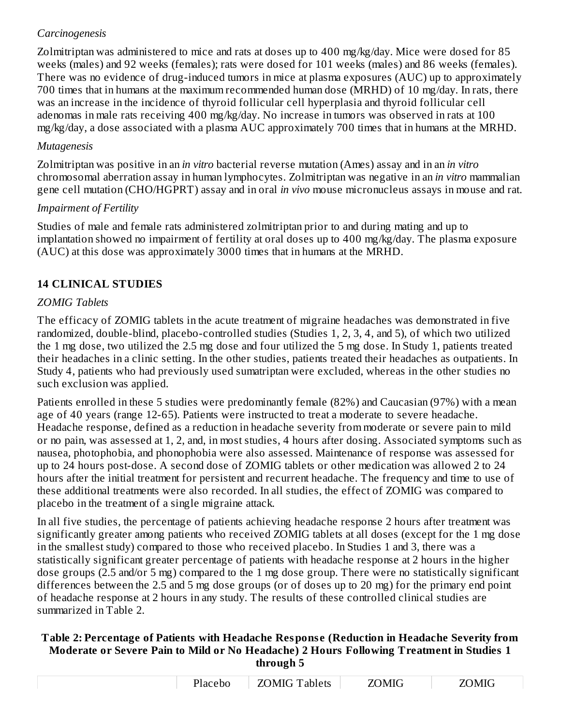## *Carcinogenesis*

Zolmitriptan was administered to mice and rats at doses up to 400 mg/kg/day. Mice were dosed for 85 weeks (males) and 92 weeks (females); rats were dosed for 101 weeks (males) and 86 weeks (females). There was no evidence of drug-induced tumors in mice at plasma exposures (AUC) up to approximately 700 times that in humans at the maximum recommended human dose (MRHD) of 10 mg/day. In rats, there was an increase in the incidence of thyroid follicular cell hyperplasia and thyroid follicular cell adenomas in male rats receiving 400 mg/kg/day. No increase in tumors was observed in rats at 100 mg/kg/day, a dose associated with a plasma AUC approximately 700 times that in humans at the MRHD.

## *Mutagenesis*

Zolmitriptan was positive in an *in vitro* bacterial reverse mutation (Ames) assay and in an *in vitro* chromosomal aberration assay in human lymphocytes. Zolmitriptan was negative in an *in vitro* mammalian gene cell mutation (CHO/HGPRT) assay and in oral *in vivo* mouse micronucleus assays in mouse and rat.

## *Impairment of Fertility*

Studies of male and female rats administered zolmitriptan prior to and during mating and up to implantation showed no impairment of fertility at oral doses up to 400 mg/kg/day. The plasma exposure (AUC) at this dose was approximately 3000 times that in humans at the MRHD.

## **14 CLINICAL STUDIES**

## *ZOMIG Tablets*

The efficacy of ZOMIG tablets in the acute treatment of migraine headaches was demonstrated in five randomized, double-blind, placebo-controlled studies (Studies 1, 2, 3, 4, and 5), of which two utilized the 1 mg dose, two utilized the 2.5 mg dose and four utilized the 5 mg dose. In Study 1, patients treated their headaches in a clinic setting. In the other studies, patients treated their headaches as outpatients. In Study 4, patients who had previously used sumatriptan were excluded, whereas in the other studies no such exclusion was applied.

Patients enrolled in these 5 studies were predominantly female (82%) and Caucasian (97%) with a mean age of 40 years (range 12-65). Patients were instructed to treat a moderate to severe headache. Headache response, defined as a reduction in headache severity from moderate or severe pain to mild or no pain, was assessed at 1, 2, and, in most studies, 4 hours after dosing. Associated symptoms such as nausea, photophobia, and phonophobia were also assessed. Maintenance of response was assessed for up to 24 hours post-dose. A second dose of ZOMIG tablets or other medication was allowed 2 to 24 hours after the initial treatment for persistent and recurrent headache. The frequency and time to use of these additional treatments were also recorded. In all studies, the effect of ZOMIG was compared to placebo in the treatment of a single migraine attack.

In all five studies, the percentage of patients achieving headache response 2 hours after treatment was significantly greater among patients who received ZOMIG tablets at all doses (except for the 1 mg dose in the smallest study) compared to those who received placebo. In Studies 1 and 3, there was a statistically significant greater percentage of patients with headache response at 2 hours in the higher dose groups (2.5 and/or 5 mg) compared to the 1 mg dose group. There were no statistically significant differences between the 2.5 and 5 mg dose groups (or of doses up to 20 mg) for the primary end point of headache response at 2 hours in any study. The results of these controlled clinical studies are summarized in Table 2.

#### **Table 2: Percentage of Patients with Headache Respons e (Reduction in Headache Severity from Moderate or Severe Pain to Mild or No Headache) 2 Hours Following Treatment in Studies 1 through 5**

| ebo<br>. | .)MIG T<br>`ablets<br>$\lambda$<br>.<br>___________ | MIG<br>___________ | JMIC<br>___________ |
|----------|-----------------------------------------------------|--------------------|---------------------|

 $\overline{\phantom{a}}$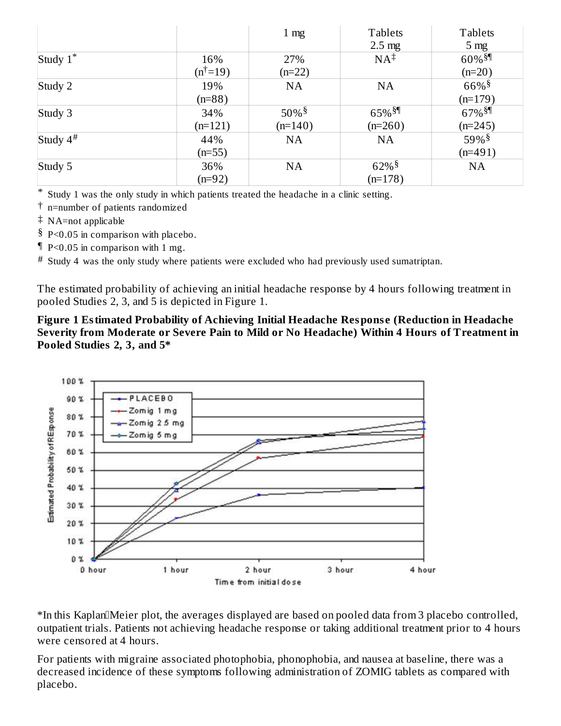|                |                      | 1 <sub>mg</sub>     | <b>Tablets</b>       | <b>Tablets</b>       |
|----------------|----------------------|---------------------|----------------------|----------------------|
|                |                      |                     | $2.5 \text{ mg}$     | 5 <sub>mg</sub>      |
| Study $1^*$    | 16%                  | 27%                 | $NA^{\ddagger}$      | $60\%$ <sup>§¶</sup> |
|                | $(n^{\dagger} = 19)$ | $(n=22)$            |                      | $(n=20)$             |
| Study 2        | 19%                  | <b>NA</b>           | <b>NA</b>            | $66\%$ <sup>§</sup>  |
|                | $(n=88)$             |                     |                      | $(n=179)$            |
| Study 3        | 34%                  | $50\%$ <sup>§</sup> | $65\%$ <sup>§¶</sup> | $67\%$ <sup>§¶</sup> |
|                | $(n=121)$            | $(n=140)$           | $(n=260)$            | $(n=245)$            |
| Study $4^{\#}$ | 44%                  | <b>NA</b>           | <b>NA</b>            | $59\%$ <sup>§</sup>  |
|                | $(n=55)$             |                     |                      | $(n=491)$            |
| Study 5        | 36%                  | <b>NA</b>           | $62\%$ <sup>§</sup>  | <b>NA</b>            |
|                | $(n=92)$             |                     | $(n=178)$            |                      |

\* Study 1 was the only study in which patients treated the headache in a clinic setting.

† n=number of patients randomized

‡ NA=not applicable

§ P<0.05 in comparison with placebo.

¶ P<0.05 in comparison with 1 mg.

# Study 4 was the only study where patients were excluded who had previously used sumatriptan.

The estimated probability of achieving an initial headache response by 4 hours following treatment in pooled Studies 2, 3, and 5 is depicted in Figure 1.

**Figure 1 Estimated Probability of Achieving Initial Headache Respons e (Reduction in Headache Severity from Moderate or Severe Pain to Mild or No Headache) Within 4 Hours of Treatment in Pooled Studies 2, 3, and 5\***



\*In this KaplanMeier plot, the averages displayed are based on pooled data from 3 placebo controlled, outpatient trials. Patients not achieving headache response or taking additional treatment prior to 4 hours were censored at 4 hours.

For patients with migraine associated photophobia, phonophobia, and nausea at baseline, there was a decreased incidence of these symptoms following administration of ZOMIG tablets as compared with placebo.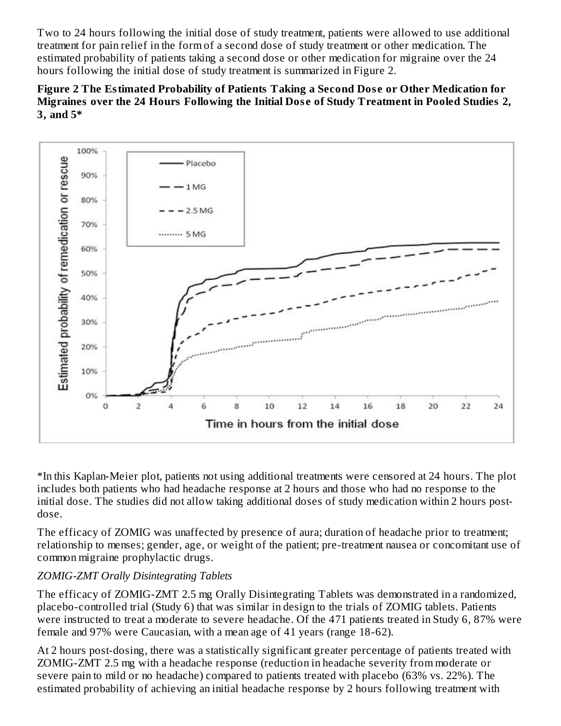Two to 24 hours following the initial dose of study treatment, patients were allowed to use additional treatment for pain relief in the form of a second dose of study treatment or other medication. The estimated probability of patients taking a second dose or other medication for migraine over the 24 hours following the initial dose of study treatment is summarized in Figure 2.





\*In this Kaplan-Meier plot, patients not using additional treatments were censored at 24 hours. The plot includes both patients who had headache response at 2 hours and those who had no response to the initial dose. The studies did not allow taking additional doses of study medication within 2 hours postdose.

The efficacy of ZOMIG was unaffected by presence of aura; duration of headache prior to treatment; relationship to menses; gender, age, or weight of the patient; pre-treatment nausea or concomitant use of common migraine prophylactic drugs.

### *ZOMIG-ZMT Orally Disintegrating Tablets*

The efficacy of ZOMIG-ZMT 2.5 mg Orally Disintegrating Tablets was demonstrated in a randomized, placebo-controlled trial (Study 6) that was similar in design to the trials of ZOMIG tablets. Patients were instructed to treat a moderate to severe headache. Of the 471 patients treated in Study 6, 87% were female and 97% were Caucasian, with a mean age of 41 years (range 18-62).

At 2 hours post-dosing, there was a statistically significant greater percentage of patients treated with ZOMIG-ZMT 2.5 mg with a headache response (reduction in headache severity from moderate or severe pain to mild or no headache) compared to patients treated with placebo (63% vs. 22%). The estimated probability of achieving an initial headache response by 2 hours following treatment with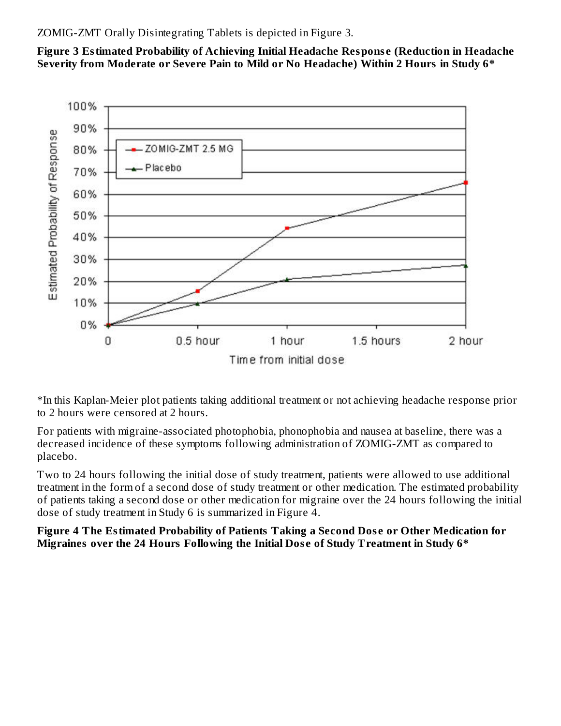ZOMIG-ZMT Orally Disintegrating Tablets is depicted in Figure 3.

**Figure 3 Estimated Probability of Achieving Initial Headache Respons e (Reduction in Headache Severity from Moderate or Severe Pain to Mild or No Headache) Within 2 Hours in Study 6\***



\*In this Kaplan-Meier plot patients taking additional treatment or not achieving headache response prior to 2 hours were censored at 2 hours.

For patients with migraine-associated photophobia, phonophobia and nausea at baseline, there was a decreased incidence of these symptoms following administration of ZOMIG-ZMT as compared to placebo.

Two to 24 hours following the initial dose of study treatment, patients were allowed to use additional treatment in the form of a second dose of study treatment or other medication. The estimated probability of patients taking a second dose or other medication for migraine over the 24 hours following the initial dose of study treatment in Study 6 is summarized in Figure 4.

**Figure 4 The Estimated Probability of Patients Taking a Second Dos e or Other Medication for Migraines over the 24 Hours Following the Initial Dos e of Study Treatment in Study 6\***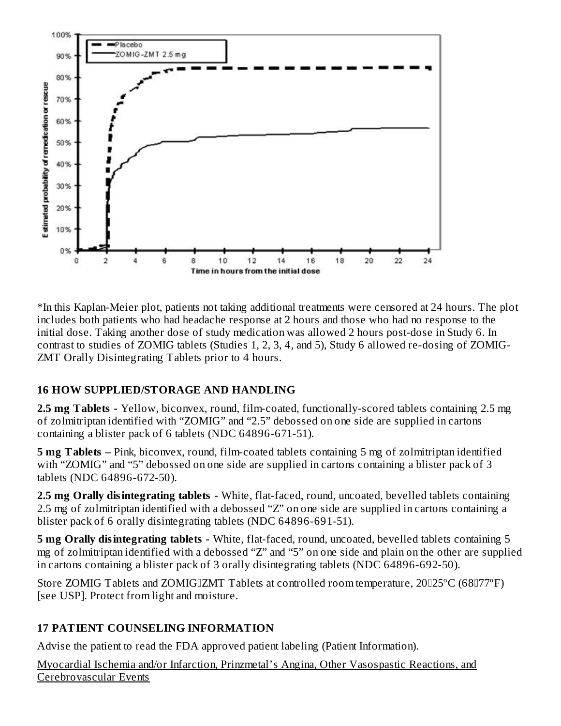

\*In this Kaplan-Meier plot, patients not taking additional treatments were censored at 24 hours. The plot includes both patients who had headache response at 2 hours and those who had no response to the initial dose. Taking another dose of study medication was allowed 2 hours post-dose in Study 6. In contrast to studies of ZOMIG tablets (Studies 1, 2, 3, 4, and 5), Study 6 allowed re-dosing of ZOMIG-ZMT Orally Disintegrating Tablets prior to 4 hours.

### **16 HOW SUPPLIED/STORAGE AND HANDLING**

**2.5 mg Tablets -** Yellow, biconvex, round, film-coated, functionally-scored tablets containing 2.5 mg of zolmitriptan identified with "ZOMIG" and "2.5" debossed on one side are supplied in cartons containing a blister pack of 6 tablets (NDC 64896-671-51).

**5 mg Tablets –** Pink, biconvex, round, film-coated tablets containing 5 mg of zolmitriptan identified with "ZOMIG" and "5" debossed on one side are supplied in cartons containing a blister pack of 3 tablets (NDC 64896-672-50).

**2.5 mg Orally disintegrating tablets -** White, flat-faced, round, uncoated, bevelled tablets containing 2.5 mg of zolmitriptan identified with a debossed "Z" on one side are supplied in cartons containing a blister pack of 6 orally disintegrating tablets (NDC 64896-691-51).

**5 mg Orally disintegrating tablets -** White, flat-faced, round, uncoated, bevelled tablets containing 5 mg of zolmitriptan identified with a debossed "Z" and "5" on one side and plain on the other are supplied in cartons containing a blister pack of 3 orally disintegrating tablets (NDC 64896-692-50).

Store ZOMIG Tablets and ZOMIGIZMT Tablets at controlled room temperature, 20125°C (68177°F) [see USP]. Protect from light and moisture.

## **17 PATIENT COUNSELING INFORMATION**

Advise the patient to read the FDA approved patient labeling (Patient Information).

Myocardial Ischemia and/or Infarction, Prinzmetal's Angina, Other Vasospastic Reactions, and Cerebrovascular Events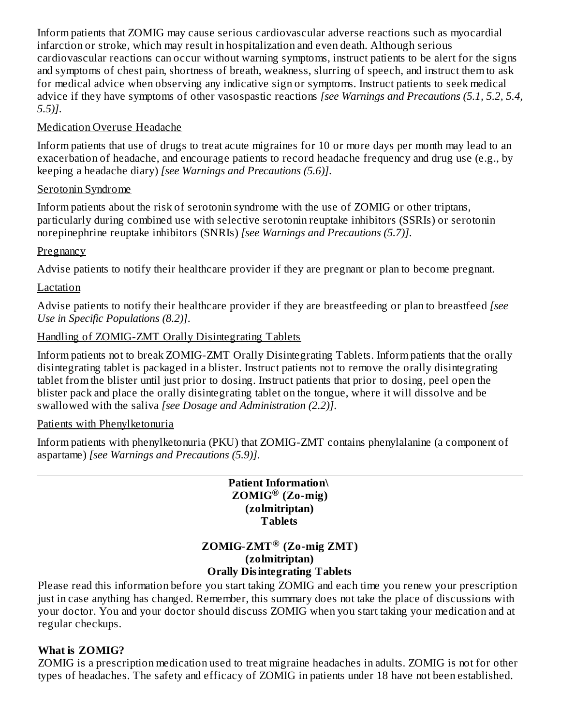Inform patients that ZOMIG may cause serious cardiovascular adverse reactions such as myocardial infarction or stroke, which may result in hospitalization and even death. Although serious cardiovascular reactions can occur without warning symptoms, instruct patients to be alert for the signs and symptoms of chest pain, shortness of breath, weakness, slurring of speech, and instruct them to ask for medical advice when observing any indicative sign or symptoms. Instruct patients to seek medical advice if they have symptoms of other vasospastic reactions *[see Warnings and Precautions (5.1, 5.2, 5.4, 5.5)]*.

## Medication Overuse Headache

Inform patients that use of drugs to treat acute migraines for 10 or more days per month may lead to an exacerbation of headache, and encourage patients to record headache frequency and drug use (e.g., by keeping a headache diary) *[see Warnings and Precautions (5.6)]*.

## Serotonin Syndrome

Inform patients about the risk of serotonin syndrome with the use of ZOMIG or other triptans, particularly during combined use with selective serotonin reuptake inhibitors (SSRIs) or serotonin norepinephrine reuptake inhibitors (SNRIs) *[see Warnings and Precautions (5.7)]*.

## Pregnancy

Advise patients to notify their healthcare provider if they are pregnant or plan to become pregnant.

## **Lactation**

Advise patients to notify their healthcare provider if they are breastfeeding or plan to breastfeed *[see Use in Specific Populations (8.2)]*.

## Handling of ZOMIG-ZMT Orally Disintegrating Tablets

Inform patients not to break ZOMIG-ZMT Orally Disintegrating Tablets. Inform patients that the orally disintegrating tablet is packaged in a blister. Instruct patients not to remove the orally disintegrating tablet from the blister until just prior to dosing. Instruct patients that prior to dosing, peel open the blister pack and place the orally disintegrating tablet on the tongue, where it will dissolve and be swallowed with the saliva *[see Dosage and Administration (2.2)]*.

### Patients with Phenylketonuria

Inform patients with phenylketonuria (PKU) that ZOMIG-ZMT contains phenylalanine (a component of aspartame) *[see Warnings and Precautions (5.9)]*.

### **Patient Information\ ZOMIG (Zo-mig) ® (zolmitriptan) Tablets**

### **ZOMIG**-**ZMT (Zo-mig ZMT) ®(zolmitriptan) Orally Disintegrating Tablets**

Please read this information before you start taking ZOMIG and each time you renew your prescription just in case anything has changed. Remember, this summary does not take the place of discussions with your doctor. You and your doctor should discuss ZOMIG when you start taking your medication and at regular checkups.

## **What is ZOMIG?**

ZOMIG is a prescription medication used to treat migraine headaches in adults. ZOMIG is not for other types of headaches. The safety and efficacy of ZOMIG in patients under 18 have not been established.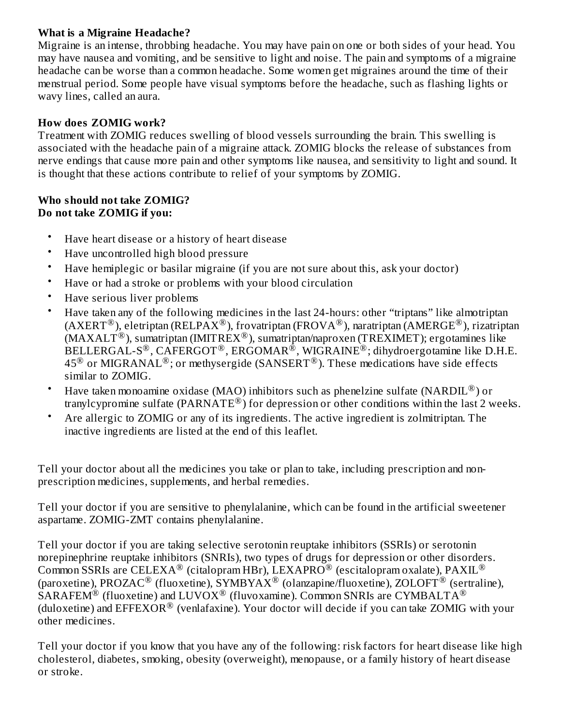## **What is a Migraine Headache?**

Migraine is an intense, throbbing headache. You may have pain on one or both sides of your head. You may have nausea and vomiting, and be sensitive to light and noise. The pain and symptoms of a migraine headache can be worse than a common headache. Some women get migraines around the time of their menstrual period. Some people have visual symptoms before the headache, such as flashing lights or wavy lines, called an aura.

## **How does ZOMIG work?**

Treatment with ZOMIG reduces swelling of blood vessels surrounding the brain. This swelling is associated with the headache pain of a migraine attack. ZOMIG blocks the release of substances from nerve endings that cause more pain and other symptoms like nausea, and sensitivity to light and sound. It is thought that these actions contribute to relief of your symptoms by ZOMIG.

#### **Who should not take ZOMIG? Do not take ZOMIG if you:**

- Have heart disease or a history of heart disease
- Have uncontrolled high blood pressure
- Have hemiplegic or basilar migraine (if you are not sure about this, ask your doctor)
- Have or had a stroke or problems with your blood circulation
- Have serious liver problems
- Have taken any of the following medicines in the last 24-hours: other "triptans" like almotriptan (AXERT  $^{\circledR}$  ), eletriptan (RELPAX  $^{\circledR}$  ), frovatriptan (FROVA  $^{\circledR}$  ), naratriptan (AMERGE  $^{\circledR}$  ), rizatriptan  $(MAXALT^@)$ , sumatriptan (IMITREX<sup>®</sup>), sumatriptan/naproxen (TREXIMET); ergotamines like  $\overline{\text{BELLERGAL-S}^{\textcirc}}$ ,  $\overline{\text{CAFERGOT}^{\textcirc}}$ ,  $\overline{\text{ERGOMAR}^{\textcirc}}$ ,  $\text{WIGRAINE}^{\textcirc}}$ ; dihydroergotamine like D.H.E. 45 $^{\circledR}$  or MIGRANAL $^{\circledR}$ ; or methysergide (SANSERT $^{\circledR}$ ). These medications have side effects similar to ZOMIG.
- Have taken monoamine oxidase (MAO) inhibitors such as phenelzine sulfate (NARDIL $^{\circledR}$ ) or tranylcypromine sulfate (PARNATE®) for depression or other conditions within the last 2 weeks.
- Are allergic to ZOMIG or any of its ingredients. The active ingredient is zolmitriptan. The inactive ingredients are listed at the end of this leaflet.

Tell your doctor about all the medicines you take or plan to take, including prescription and nonprescription medicines, supplements, and herbal remedies.

Tell your doctor if you are sensitive to phenylalanine, which can be found in the artificial sweetener aspartame. ZOMIG-ZMT contains phenylalanine.

Tell your doctor if you are taking selective serotonin reuptake inhibitors (SSRIs) or serotonin norepinephrine reuptake inhibitors (SNRIs), two types of drugs for depression or other disorders. Common SSRIs are CELEXA® (citalopram HBr), LEXAPRO® (escitalopram oxalate), PAXIL® (paroxetine), PROZAC $^{\circledR}$  (fluoxetine), SYMBYAX $^{\circledR}$  (olanzapine/fluoxetine), ZOLOFT $^{\circledR}$  (sertraline),  $\widehat{\text{SARAFEM}}^{\circledR}$  (fluoxetine) and  $\text{LUVOX}^{\circledR}$  (fluvoxamine). Common SNRIs are CYMBALTA $^{\circledR}$ (duloxetine) and  $\rm{EFEXOR}^{\circledR}$  (venlafaxine). Your doctor will decide if you can take ZOMIG with your other medicines.

Tell your doctor if you know that you have any of the following: risk factors for heart disease like high cholesterol, diabetes, smoking, obesity (overweight), menopause, or a family history of heart disease or stroke.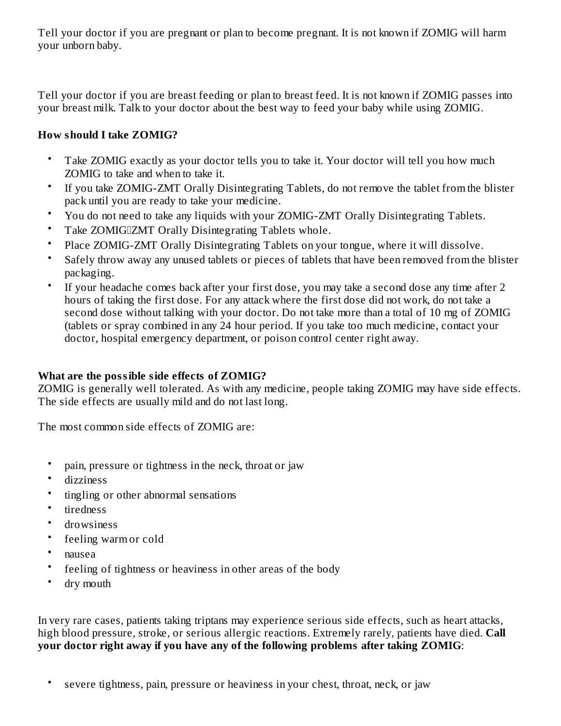Tell your doctor if you are pregnant or plan to become pregnant. It is not known if ZOMIG will harm your unborn baby.

Tell your doctor if you are breast feeding or plan to breast feed. It is not known if ZOMIG passes into your breast milk. Talk to your doctor about the best way to feed your baby while using ZOMIG.

## **How should I take ZOMIG?**

- Take ZOMIG exactly as your doctor tells you to take it. Your doctor will tell you how much ZOMIG to take and when to take it.
- If you take ZOMIG-ZMT Orally Disintegrating Tablets, do not remove the tablet from the blister pack until you are ready to take your medicine.
- You do not need to take any liquids with your ZOMIG-ZMT Orally Disintegrating Tablets.
- Take ZOMIGIZMT Orally Disintegrating Tablets whole.
- Place ZOMIG-ZMT Orally Disintegrating Tablets on your tongue, where it will dissolve.
- Safely throw away any unused tablets or pieces of tablets that have been removed from the blister packaging.
- If your headache comes back after your first dose, you may take a second dose any time after 2 hours of taking the first dose. For any attack where the first dose did not work, do not take a second dose without talking with your doctor. Do not take more than a total of 10 mg of ZOMIG (tablets or spray combined in any 24 hour period. If you take too much medicine, contact your doctor, hospital emergency department, or poison control center right away.

## **What are the possible side effects of ZOMIG?**

ZOMIG is generally well tolerated. As with any medicine, people taking ZOMIG may have side effects. The side effects are usually mild and do not last long.

The most common side effects of ZOMIG are:

- pain, pressure or tightness in the neck, throat or jaw
- dizziness
- tingling or other abnormal sensations
- tiredness
- drowsiness
- feeling warm or cold
- nausea
- feeling of tightness or heaviness in other areas of the body
- dry mouth

In very rare cases, patients taking triptans may experience serious side effects, such as heart attacks, high blood pressure, stroke, or serious allergic reactions. Extremely rarely, patients have died. **Call your doctor right away if you have any of the following problems after taking ZOMIG**:

• severe tightness, pain, pressure or heaviness in your chest, throat, neck, or jaw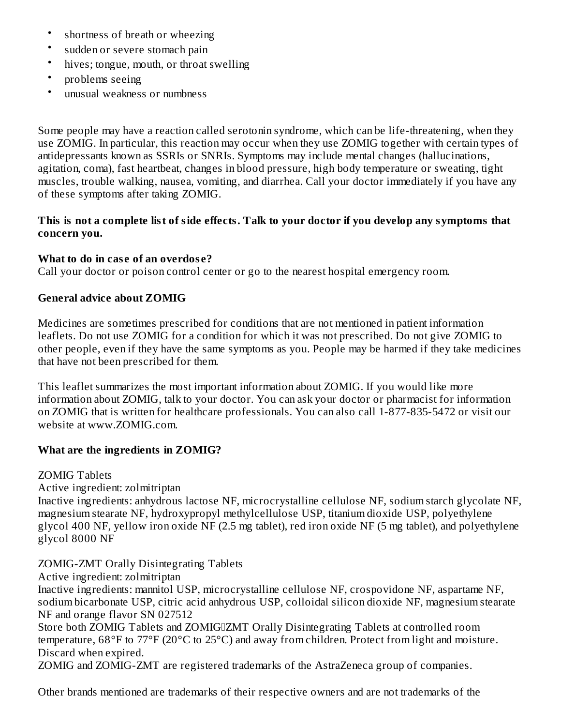- shortness of breath or wheezing
- sudden or severe stomach pain
- hives; tongue, mouth, or throat swelling
- problems seeing
- unusual weakness or numbness

Some people may have a reaction called serotonin syndrome, which can be life-threatening, when they use ZOMIG. In particular, this reaction may occur when they use ZOMIG together with certain types of antidepressants known as SSRIs or SNRIs. Symptoms may include mental changes (hallucinations, agitation, coma), fast heartbeat, changes in blood pressure, high body temperature or sweating, tight muscles, trouble walking, nausea, vomiting, and diarrhea. Call your doctor immediately if you have any of these symptoms after taking ZOMIG.

### This is not a complete list of side effects. Talk to your doctor if you develop any symptoms that **concern you.**

### **What to do in cas e of an overdos e?**

Call your doctor or poison control center or go to the nearest hospital emergency room.

### **General advice about ZOMIG**

Medicines are sometimes prescribed for conditions that are not mentioned in patient information leaflets. Do not use ZOMIG for a condition for which it was not prescribed. Do not give ZOMIG to other people, even if they have the same symptoms as you. People may be harmed if they take medicines that have not been prescribed for them.

This leaflet summarizes the most important information about ZOMIG. If you would like more information about ZOMIG, talk to your doctor. You can ask your doctor or pharmacist for information on ZOMIG that is written for healthcare professionals. You can also call 1-877-835-5472 or visit our website at www.ZOMIG.com.

### **What are the ingredients in ZOMIG?**

ZOMIG Tablets

Active ingredient: zolmitriptan

Inactive ingredients: anhydrous lactose NF, microcrystalline cellulose NF, sodium starch glycolate NF, magnesium stearate NF, hydroxypropyl methylcellulose USP, titanium dioxide USP, polyethylene glycol 400 NF, yellow iron oxide NF (2.5 mg tablet), red iron oxide NF (5 mg tablet), and polyethylene glycol 8000 NF

### ZOMIG-ZMT Orally Disintegrating Tablets

Active ingredient: zolmitriptan

Inactive ingredients: mannitol USP, microcrystalline cellulose NF, crospovidone NF, aspartame NF, sodium bicarbonate USP, citric acid anhydrous USP, colloidal silicon dioxide NF, magnesium stearate NF and orange flavor SN 027512

Store both ZOMIG Tablets and ZOMIGIZMT Orally Disintegrating Tablets at controlled room temperature, 68°F to 77°F (20°C to 25°C) and away from children. Protect from light and moisture. Discard when expired.

ZOMIG and ZOMIG-ZMT are registered trademarks of the AstraZeneca group of companies.

Other brands mentioned are trademarks of their respective owners and are not trademarks of the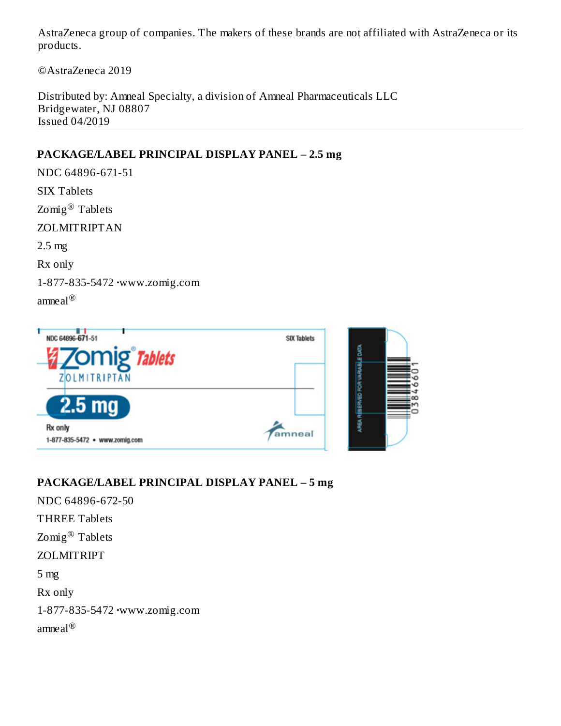AstraZeneca group of companies. The makers of these brands are not affiliated with AstraZeneca or its products.

©AstraZeneca 2019

Distributed by: Amneal Specialty, a division of Amneal Pharmaceuticals LLC Bridgewater, NJ 08807 Issued 04/2019

### **PACKAGE/LABEL PRINCIPAL DISPLAY PANEL – 2.5 mg**

NDC 64896-671-51 SIX Tablets  $\text{Zomig}^{\circledR}$  Tablets ZOLMITRIPTAN 2.5 mg Rx only 1-877-835-5472 **·**www.zomig.com amneal ®



### **PACKAGE/LABEL PRINCIPAL DISPLAY PANEL – 5 mg**

NDC 64896-672-50 THREE Tablets  $\text{Zomig}^{\circledR}$  Tablets ZOLMITRIPT 5 mg Rx only 1-877-835-5472 **·**www.zomig.com amne $\mathrm{al}^\circledR$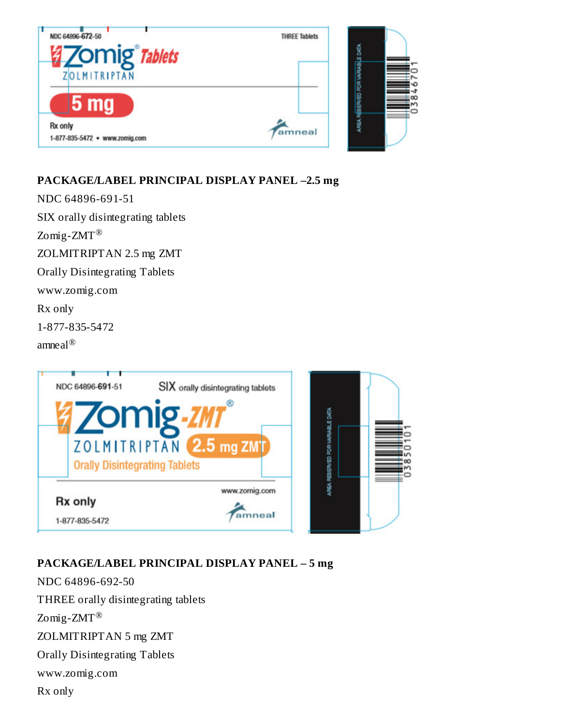

## **PACKAGE/LABEL PRINCIPAL DISPLAY PANEL –2.5 mg**

NDC 64896-691-51 SIX orally disintegrating tablets  $\text{Zomig-ZMT}^{\circledR}$ ZOLMITRIPTAN 2.5 mg ZMT Orally Disintegrating Tablets www.zomig.com Rx only 1-877-835-5472 amneal ®



## **PACKAGE/LABEL PRINCIPAL DISPLAY PANEL – 5 mg**

NDC 64896-692-50 THREE orally disintegrating tablets  $\text{Zomig-ZMT}^{\circledR}$ ZOLMITRIPTAN 5 mg ZMT Orally Disintegrating Tablets www.zomig.com Rx only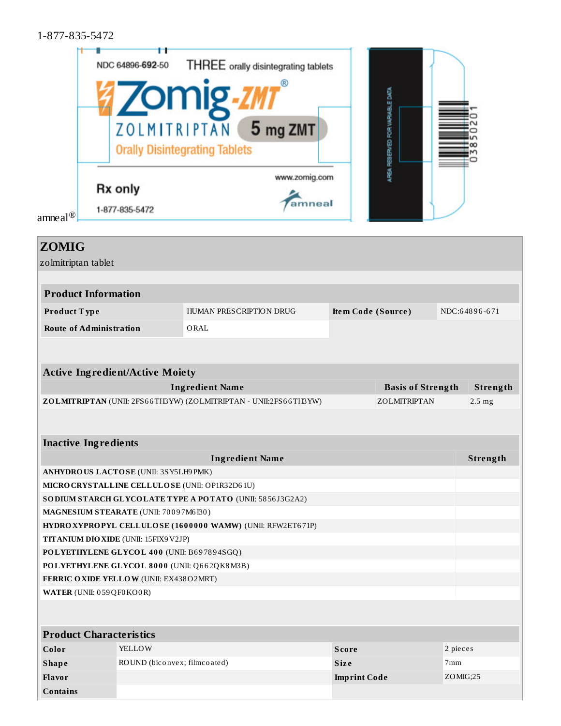1-877-835-5472

|                     | NDC 64896-692-50                                     | <b>THREE</b> orally disintegrating tablets |  |
|---------------------|------------------------------------------------------|--------------------------------------------|--|
|                     | <b>Zomig</b>                                         |                                            |  |
|                     | ZOLMITRIPTAN<br><b>Orally Disintegrating Tablets</b> | 5 mg ZMT                                   |  |
| amneal <sup>®</sup> | <b>Rx only</b><br>1-877-835-5472                     | www.zomig.com<br>amneal                    |  |

| <b>ZOMIG</b>                                    |                              |                                                                  |                     |                          |          |                  |
|-------------------------------------------------|------------------------------|------------------------------------------------------------------|---------------------|--------------------------|----------|------------------|
| zolmitriptan tablet                             |                              |                                                                  |                     |                          |          |                  |
|                                                 |                              |                                                                  |                     |                          |          |                  |
| <b>Product Information</b>                      |                              |                                                                  |                     |                          |          |                  |
| Product Type                                    |                              | <b>HUMAN PRESCRIPTION DRUG</b>                                   | Item Code (Source)  |                          |          | NDC:64896-671    |
| <b>Route of Administration</b>                  |                              | ORAL                                                             |                     |                          |          |                  |
|                                                 |                              |                                                                  |                     |                          |          |                  |
|                                                 |                              |                                                                  |                     |                          |          |                  |
| <b>Active Ingredient/Active Moiety</b>          |                              |                                                                  |                     |                          |          |                  |
|                                                 |                              | <b>Ingredient Name</b>                                           |                     | <b>Basis of Strength</b> |          | Strength         |
|                                                 |                              | ZOLMITRIPTAN (UNII: 2FS66TH3YW) (ZOLMITRIPTAN - UNII:2FS66TH3YW) |                     | ZOLMITRIPTAN             |          | $2.5 \text{ mg}$ |
|                                                 |                              |                                                                  |                     |                          |          |                  |
|                                                 |                              |                                                                  |                     |                          |          |                  |
| <b>Inactive Ingredients</b>                     |                              |                                                                  |                     |                          |          |                  |
|                                                 |                              | <b>Ingredient Name</b>                                           |                     |                          |          | Strength         |
| ANHYDROUS LACTOSE (UNII: 3SY5LH9PMK)            |                              |                                                                  |                     |                          |          |                  |
| MICRO CRYSTALLINE CELLULO SE (UNII: OP1R32D61U) |                              |                                                                  |                     |                          |          |                  |
|                                                 |                              | SO DIUM STARCH GLYCOLATE TYPE A POTATO (UNII: 5856J3G2A2)        |                     |                          |          |                  |
| MAGNESIUM STEARATE (UNII: 70097M6130)           |                              |                                                                  |                     |                          |          |                  |
|                                                 |                              | HYDRO XYPROPYL CELLULOSE (1600000 WAMW) (UNII: RFW2ET671P)       |                     |                          |          |                  |
| TITANIUM DIO XIDE (UNII: 15FIX9 V2JP)           |                              |                                                                  |                     |                          |          |                  |
| POLYETHYLENE GLYCOL 400 (UNII: B697894SGQ)      |                              |                                                                  |                     |                          |          |                  |
| POLYETHYLENE GLYCOL 8000 (UNII: Q662QK8M3B)     |                              |                                                                  |                     |                          |          |                  |
| <b>FERRIC OXIDE YELLOW (UNII: EX438O2MRT)</b>   |                              |                                                                  |                     |                          |          |                  |
| <b>WATER</b> (UNII: 059QF0KO0R)                 |                              |                                                                  |                     |                          |          |                  |
|                                                 |                              |                                                                  |                     |                          |          |                  |
| <b>Product Characteristics</b>                  |                              |                                                                  |                     |                          |          |                  |
| Color                                           | <b>YELLOW</b>                |                                                                  | <b>Score</b>        |                          | 2 pieces |                  |
| <b>Shape</b>                                    | ROUND (biconvex; filmcoated) |                                                                  | <b>Size</b>         |                          | 7mm      |                  |
| Flavor                                          |                              |                                                                  | <b>Imprint Code</b> |                          | ZOMIG;25 |                  |
| <b>Contains</b>                                 |                              |                                                                  |                     |                          |          |                  |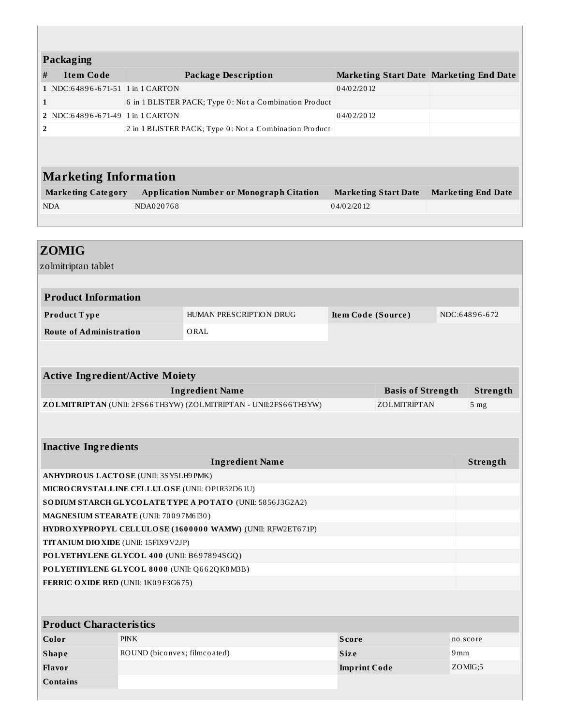| Packaging                                       |                              |                                                                  |                     |                                         |     |                           |
|-------------------------------------------------|------------------------------|------------------------------------------------------------------|---------------------|-----------------------------------------|-----|---------------------------|
| <b>Item Code</b><br>#                           |                              | <b>Package Description</b>                                       |                     | Marketing Start Date Marketing End Date |     |                           |
| 1 NDC:64896-671-51 1 in 1 CARTON                |                              |                                                                  | 04/02/2012          |                                         |     |                           |
| 1                                               |                              | 6 in 1 BLISTER PACK; Type 0: Not a Combination Product           |                     |                                         |     |                           |
| 2 NDC:64896-671-49 1 in 1 CARTON                |                              |                                                                  | 04/02/2012          |                                         |     |                           |
| 2                                               |                              | 2 in 1 BLISTER PACK; Type 0: Not a Combination Product           |                     |                                         |     |                           |
| <b>Marketing Information</b>                    |                              |                                                                  |                     |                                         |     |                           |
| <b>Marketing Category</b>                       |                              | <b>Application Number or Monograph Citation</b>                  |                     |                                         |     |                           |
|                                                 | NDA020768                    |                                                                  |                     | <b>Marketing Start Date</b>             |     | <b>Marketing End Date</b> |
| <b>NDA</b>                                      |                              |                                                                  | 04/02/2012          |                                         |     |                           |
|                                                 |                              |                                                                  |                     |                                         |     |                           |
| <b>ZOMIG</b><br>zolmitriptan tablet             |                              |                                                                  |                     |                                         |     |                           |
| <b>Product Information</b>                      |                              |                                                                  |                     |                                         |     |                           |
| Product Type                                    |                              | HUMAN PRESCRIPTION DRUG                                          | Item Code (Source)  |                                         |     | NDC:64896-672             |
| <b>Route of Administration</b>                  |                              | ORAL                                                             |                     |                                         |     |                           |
| <b>Active Ingredient/Active Moiety</b>          |                              | <b>Ingredient Name</b>                                           |                     | <b>Basis of Strength</b>                |     | Strength                  |
|                                                 |                              | ZOLMITRIPTAN (UNII: 2FS66TH3YW) (ZOLMITRIPTAN - UNII:2FS66TH3YW) |                     | ZOLMITRIPTAN                            |     | 5 <sub>mg</sub>           |
| <b>Inactive Ingredients</b>                     |                              | <b>Ingredient Name</b>                                           |                     |                                         |     | Strength                  |
| ANHYDROUS LACTOSE (UNII: 3SY5LH9 PMK)           |                              |                                                                  |                     |                                         |     |                           |
| MICRO CRYSTALLINE CELLULO SE (UNII: OP1R32D61U) |                              |                                                                  |                     |                                         |     |                           |
|                                                 |                              | SO DIUM STARCH GLYCOLATE TYPE A POTATO (UNII: 5856J3G2A2)        |                     |                                         |     |                           |
| MAGNESIUM STEARATE (UNII: 70097M6I30)           |                              |                                                                  |                     |                                         |     |                           |
|                                                 |                              | HYDRO XYPROPYL CELLULOSE (1600000 WAMW) (UNII: RFW2ET671P)       |                     |                                         |     |                           |
| TITANIUM DIO XIDE (UNII: 15FIX9 V2JP)           |                              |                                                                  |                     |                                         |     |                           |
| POLYETHYLENE GLYCOL 400 (UNII: B697894SGQ)      |                              |                                                                  |                     |                                         |     |                           |
| POLYETHYLENE GLYCOL 8000 (UNII: Q662QK8M3B)     |                              |                                                                  |                     |                                         |     |                           |
| FERRIC OXIDE RED (UNII: 1K09F3G675)             |                              |                                                                  |                     |                                         |     |                           |
|                                                 |                              |                                                                  |                     |                                         |     |                           |
| <b>Product Characteristics</b>                  |                              |                                                                  |                     |                                         |     |                           |
| Color                                           | <b>PINK</b>                  |                                                                  | <b>Score</b>        |                                         |     | no score                  |
| <b>Shape</b>                                    | ROUND (biconvex; filmcoated) |                                                                  | Size                |                                         | 9mm |                           |
| Flavor                                          |                              |                                                                  | <b>Imprint Code</b> |                                         |     | ZOMG;5                    |
| <b>Contains</b>                                 |                              |                                                                  |                     |                                         |     |                           |
|                                                 |                              |                                                                  |                     |                                         |     |                           |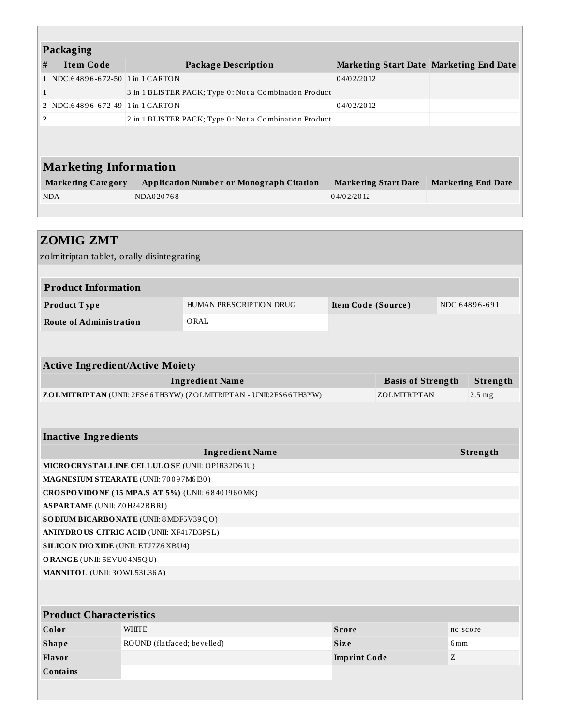| <b>Packaging</b>                                 |                             |                                                                  |                     |                                         |                 |                           |
|--------------------------------------------------|-----------------------------|------------------------------------------------------------------|---------------------|-----------------------------------------|-----------------|---------------------------|
| #<br><b>Item Code</b>                            |                             | <b>Package Description</b>                                       |                     | Marketing Start Date Marketing End Date |                 |                           |
| 1 NDC:64896-672-50 1 in 1 CARTON                 |                             |                                                                  | 04/02/2012          |                                         |                 |                           |
| 1                                                |                             | 3 in 1 BLISTER PACK; Type 0: Not a Combination Product           |                     |                                         |                 |                           |
| 2 NDC:64896-672-49 1 in 1 CARTON                 |                             |                                                                  | 04/02/2012          |                                         |                 |                           |
| $\overline{\mathbf{2}}$                          |                             | 2 in 1 BLISTER PACK; Type 0: Not a Combination Product           |                     |                                         |                 |                           |
|                                                  |                             |                                                                  |                     |                                         |                 |                           |
|                                                  |                             |                                                                  |                     |                                         |                 |                           |
|                                                  |                             |                                                                  |                     |                                         |                 |                           |
| <b>Marketing Information</b>                     |                             |                                                                  |                     |                                         |                 |                           |
| <b>Marketing Category</b>                        |                             | <b>Application Number or Monograph Citation</b>                  |                     | <b>Marketing Start Date</b>             |                 | <b>Marketing End Date</b> |
| <b>NDA</b>                                       | NDA020768                   |                                                                  | 04/02/2012          |                                         |                 |                           |
|                                                  |                             |                                                                  |                     |                                         |                 |                           |
|                                                  |                             |                                                                  |                     |                                         |                 |                           |
| <b>ZOMIG ZMT</b>                                 |                             |                                                                  |                     |                                         |                 |                           |
| zolmitriptan tablet, orally disintegrating       |                             |                                                                  |                     |                                         |                 |                           |
|                                                  |                             |                                                                  |                     |                                         |                 |                           |
| <b>Product Information</b>                       |                             |                                                                  |                     |                                         |                 |                           |
|                                                  |                             | HUMAN PRESCRIPTION DRUG                                          |                     |                                         |                 | NDC:64896-691             |
| Product Type                                     |                             |                                                                  | Item Code (Source)  |                                         |                 |                           |
| <b>Route of Administration</b>                   |                             | ORAL                                                             |                     |                                         |                 |                           |
|                                                  |                             |                                                                  |                     |                                         |                 |                           |
|                                                  |                             |                                                                  |                     |                                         |                 |                           |
| <b>Active Ingredient/Active Moiety</b>           |                             |                                                                  |                     |                                         |                 |                           |
|                                                  |                             | <b>Ingredient Name</b>                                           |                     | <b>Basis of Strength</b>                |                 | Strength                  |
|                                                  |                             | ZOLMITRIPTAN (UNII: 2FS66TH3YW) (ZOLMITRIPTAN - UNII:2FS66TH3YW) |                     | ZOLMITRIPTAN                            |                 | 2.5 <sub>mg</sub>         |
|                                                  |                             |                                                                  |                     |                                         |                 |                           |
|                                                  |                             |                                                                  |                     |                                         |                 |                           |
| <b>Inactive Ingredients</b>                      |                             |                                                                  |                     |                                         |                 |                           |
|                                                  |                             | <b>Ingredient Name</b>                                           |                     |                                         |                 | Strength                  |
| MICRO CRYSTALLINE CELLULO SE (UNII: OP1R32D61U)  |                             |                                                                  |                     |                                         |                 |                           |
| MAGNESIUM STEARATE (UNII: 70097M6130)            |                             |                                                                  |                     |                                         |                 |                           |
| CROSPOVIDONE (15 MPA.S AT 5%) (UNII: 68401960MK) |                             |                                                                  |                     |                                         |                 |                           |
| <b>ASPARTAME</b> (UNII: Z0H242BBR1)              |                             |                                                                  |                     |                                         |                 |                           |
| SO DIUM BICARBONATE (UNII: 8 MDF5V39QO)          |                             |                                                                  |                     |                                         |                 |                           |
| <b>ANHYDRO US CITRIC ACID (UNII: XF417D3PSL)</b> |                             |                                                                  |                     |                                         |                 |                           |
| <b>SILICON DIO XIDE (UNII: ETJ7Z6 XBU4)</b>      |                             |                                                                  |                     |                                         |                 |                           |
| ORANGE (UNII: 5EVU04N5QU)                        |                             |                                                                  |                     |                                         |                 |                           |
| MANNITOL (UNII: 30WL53L36A)                      |                             |                                                                  |                     |                                         |                 |                           |
|                                                  |                             |                                                                  |                     |                                         |                 |                           |
|                                                  |                             |                                                                  |                     |                                         |                 |                           |
| <b>Product Characteristics</b>                   |                             |                                                                  |                     |                                         |                 |                           |
| Color                                            | <b>WHITE</b>                |                                                                  | <b>Score</b>        |                                         | no score        |                           |
| <b>Shape</b>                                     | ROUND (flatfaced; bevelled) |                                                                  | Size                |                                         | 6 <sub>mm</sub> |                           |
| Flavor                                           |                             |                                                                  | <b>Imprint Code</b> |                                         | Z               |                           |
| <b>Contains</b>                                  |                             |                                                                  |                     |                                         |                 |                           |
|                                                  |                             |                                                                  |                     |                                         |                 |                           |
|                                                  |                             |                                                                  |                     |                                         |                 |                           |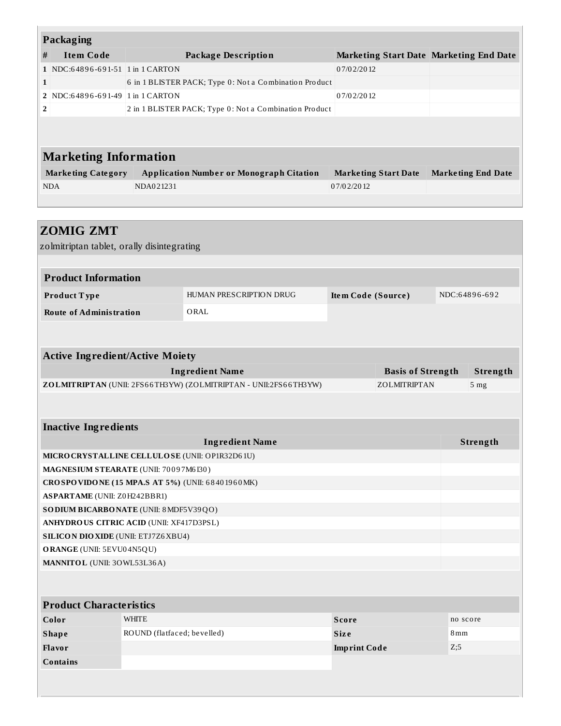| Packaging      |                                  |                                                        |                                         |                           |  |  |  |  |
|----------------|----------------------------------|--------------------------------------------------------|-----------------------------------------|---------------------------|--|--|--|--|
| #              | <b>Item Code</b>                 | Package Description                                    | Marketing Start Date Marketing End Date |                           |  |  |  |  |
|                | 1 NDC:64896-691-51 1 in 1 CARTON |                                                        | 07/02/2012                              |                           |  |  |  |  |
| $\mathbf{1}$   |                                  | 6 in 1 BLISTER PACK; Type 0: Not a Combination Product |                                         |                           |  |  |  |  |
|                | 2 NDC:64896-691-49 1 in 1 CARTON |                                                        | 07/02/2012                              |                           |  |  |  |  |
| $\overline{2}$ |                                  | 2 in 1 BLISTER PACK; Type 0: Not a Combination Product |                                         |                           |  |  |  |  |
|                |                                  |                                                        |                                         |                           |  |  |  |  |
|                | <b>Marketing Information</b>     |                                                        |                                         |                           |  |  |  |  |
|                | <b>Marketing Category</b>        | <b>Application Number or Monograph Citation</b>        | <b>Marketing Start Date</b>             | <b>Marketing End Date</b> |  |  |  |  |
|                | <b>NDA</b>                       | NDA021231                                              | 07/02/2012                              |                           |  |  |  |  |
|                |                                  |                                                        |                                         |                           |  |  |  |  |

| <b>ZOMIG ZMT</b>                                                                                |                             |                                                                  |                     |                          |     |                 |  |
|-------------------------------------------------------------------------------------------------|-----------------------------|------------------------------------------------------------------|---------------------|--------------------------|-----|-----------------|--|
| zolmitriptan tablet, orally disintegrating                                                      |                             |                                                                  |                     |                          |     |                 |  |
|                                                                                                 |                             |                                                                  |                     |                          |     |                 |  |
| <b>Product Information</b>                                                                      |                             |                                                                  |                     |                          |     |                 |  |
| Product Type                                                                                    |                             | HUMAN PRESCRIPTION DRUG                                          | Item Code (Source)  |                          |     | NDC:64896-692   |  |
| <b>Route of Administration</b>                                                                  |                             | ORAL                                                             |                     |                          |     |                 |  |
|                                                                                                 |                             |                                                                  |                     |                          |     |                 |  |
|                                                                                                 |                             |                                                                  |                     |                          |     |                 |  |
| <b>Active Ingredient/Active Moiety</b>                                                          |                             |                                                                  |                     |                          |     |                 |  |
|                                                                                                 |                             | <b>Ingredient Name</b>                                           |                     | <b>Basis of Strength</b> |     | Strength        |  |
|                                                                                                 |                             | ZOLMITRIPTAN (UNII: 2FS66TH3YW) (ZOLMITRIPTAN - UNII:2FS66TH3YW) |                     | ZOLMITRIPTAN             |     | 5 <sub>mg</sub> |  |
|                                                                                                 |                             |                                                                  |                     |                          |     |                 |  |
|                                                                                                 |                             |                                                                  |                     |                          |     |                 |  |
| <b>Inactive Ingredients</b>                                                                     |                             |                                                                  |                     |                          |     |                 |  |
|                                                                                                 |                             | <b>Ingredient Name</b>                                           |                     |                          |     | Strength        |  |
| MICRO CRYSTALLINE CELLULO SE (UNII: OP1R32D61U)                                                 |                             |                                                                  |                     |                          |     |                 |  |
| MAGNESIUM STEARATE (UNII: 70097M6I30)                                                           |                             |                                                                  |                     |                          |     |                 |  |
| CROSPOVIDONE (15 MPA.S AT 5%) (UNII: 68401960MK)                                                |                             |                                                                  |                     |                          |     |                 |  |
| <b>ASPARTAME</b> (UNII: Z0H242BBR1)                                                             |                             |                                                                  |                     |                          |     |                 |  |
| SO DIUM BICARBONATE (UNII: 8 MDF5V39QO)                                                         |                             |                                                                  |                     |                          |     |                 |  |
| <b>ANHYDRO US CITRIC ACID (UNII: XF417D3PSL)</b><br><b>SILICON DIO XIDE (UNII: ETJ7Z6 XBU4)</b> |                             |                                                                  |                     |                          |     |                 |  |
| ORANGE (UNII: 5EVU04N5QU)                                                                       |                             |                                                                  |                     |                          |     |                 |  |
| MANNITOL (UNII: 30WL53L36A)                                                                     |                             |                                                                  |                     |                          |     |                 |  |
|                                                                                                 |                             |                                                                  |                     |                          |     |                 |  |
|                                                                                                 |                             |                                                                  |                     |                          |     |                 |  |
| <b>Product Characteristics</b>                                                                  |                             |                                                                  |                     |                          |     |                 |  |
| Color                                                                                           | <b>WHITE</b>                |                                                                  | <b>Score</b>        |                          |     | no score        |  |
| <b>Shape</b>                                                                                    | ROUND (flatfaced; bevelled) |                                                                  | <b>Size</b>         |                          | 8mm |                 |  |
| Flavor                                                                                          |                             |                                                                  | <b>Imprint Code</b> |                          | Z;5 |                 |  |
| <b>Contains</b>                                                                                 |                             |                                                                  |                     |                          |     |                 |  |
|                                                                                                 |                             |                                                                  |                     |                          |     |                 |  |
|                                                                                                 |                             |                                                                  |                     |                          |     |                 |  |